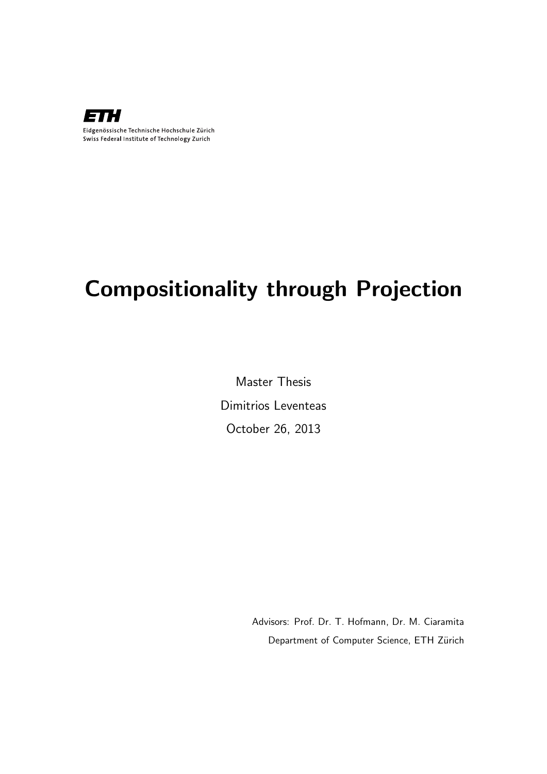

# Compositionality through Projection

Master Thesis Dimitrios Leventeas October 26, 2013

> Advisors: Prof. Dr. T. Hofmann, Dr. M. Ciaramita Department of Computer Science, ETH Zürich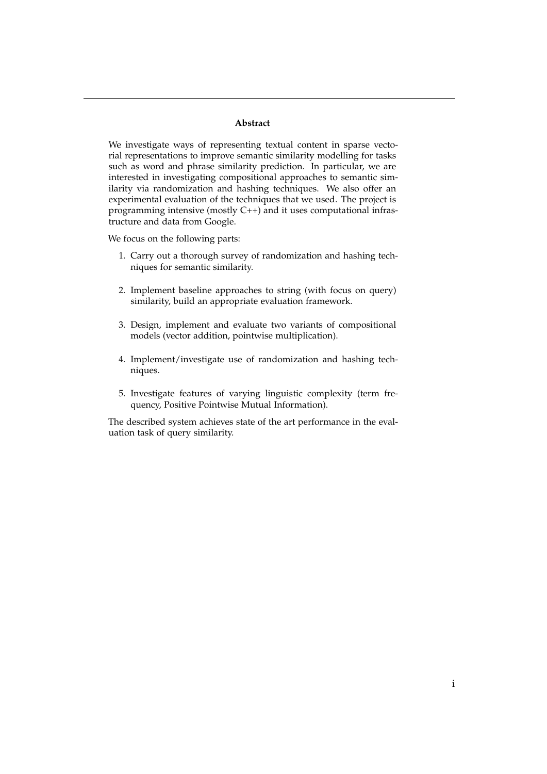#### **Abstract**

We investigate ways of representing textual content in sparse vectorial representations to improve semantic similarity modelling for tasks such as word and phrase similarity prediction. In particular, we are interested in investigating compositional approaches to semantic similarity via randomization and hashing techniques. We also offer an experimental evaluation of the techniques that we used. The project is programming intensive (mostly C++) and it uses computational infrastructure and data from Google.

We focus on the following parts:

- 1. Carry out a thorough survey of randomization and hashing techniques for semantic similarity.
- 2. Implement baseline approaches to string (with focus on query) similarity, build an appropriate evaluation framework.
- 3. Design, implement and evaluate two variants of compositional models (vector addition, pointwise multiplication).
- 4. Implement/investigate use of randomization and hashing techniques.
- 5. Investigate features of varying linguistic complexity (term frequency, Positive Pointwise Mutual Information).

The described system achieves state of the art performance in the evaluation task of query similarity.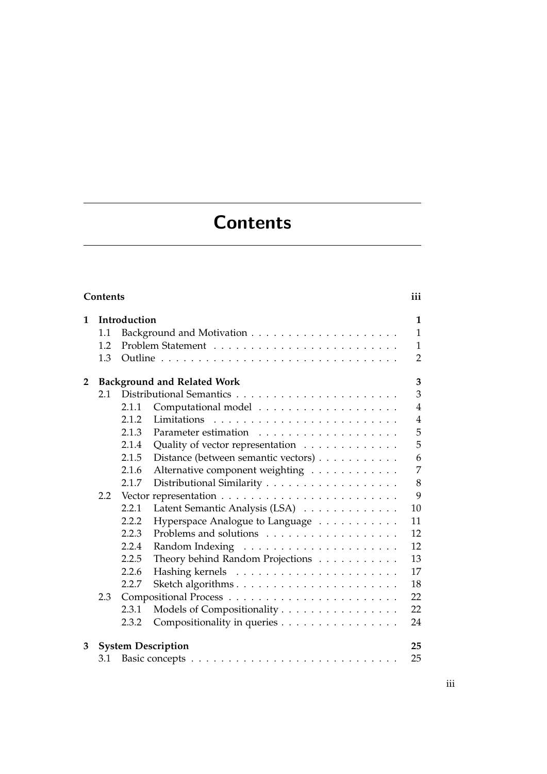# **Contents**

<span id="page-4-0"></span>

|              | <b>Contents</b> |              |                                     | iii            |
|--------------|-----------------|--------------|-------------------------------------|----------------|
| 1            |                 | Introduction |                                     | $\mathbf{1}$   |
|              | 1.1             |              |                                     | $\mathbf{1}$   |
|              | 1.2             |              |                                     | $\mathbf{1}$   |
|              | 1.3             |              |                                     | $\overline{2}$ |
| $\mathbf{2}$ |                 |              | <b>Background and Related Work</b>  | 3              |
|              | 2.1             |              |                                     | 3              |
|              |                 | 2.1.1        |                                     | $\overline{4}$ |
|              |                 | 2.1.2        |                                     | $\overline{4}$ |
|              |                 | 2.1.3        |                                     | 5              |
|              |                 | 2.1.4        | Quality of vector representation    | 5              |
|              |                 | 2.1.5        | Distance (between semantic vectors) | 6              |
|              |                 | 2.1.6        | Alternative component weighting     | 7              |
|              |                 | 2.1.7        | Distributional Similarity           | 8              |
|              | 2.2             |              |                                     | 9              |
|              |                 | 2.2.1        | Latent Semantic Analysis (LSA)      | 10             |
|              |                 | 2.2.2        | Hyperspace Analogue to Language     | 11             |
|              |                 | 2.2.3        |                                     | 12             |
|              |                 | 2.2.4        |                                     | 12             |
|              |                 | 2.2.5        | Theory behind Random Projections    | 13             |
|              |                 | 2.2.6        |                                     | 17             |
|              |                 | 2.2.7        |                                     | 18             |
|              | 2.3             |              |                                     | 22             |
|              |                 | 2.3.1        | Models of Compositionality          | 22             |
|              |                 | 2.3.2        | Compositionality in queries         | 24             |
| 3            |                 |              | <b>System Description</b>           | 25             |
|              | 3.1             |              |                                     | 25             |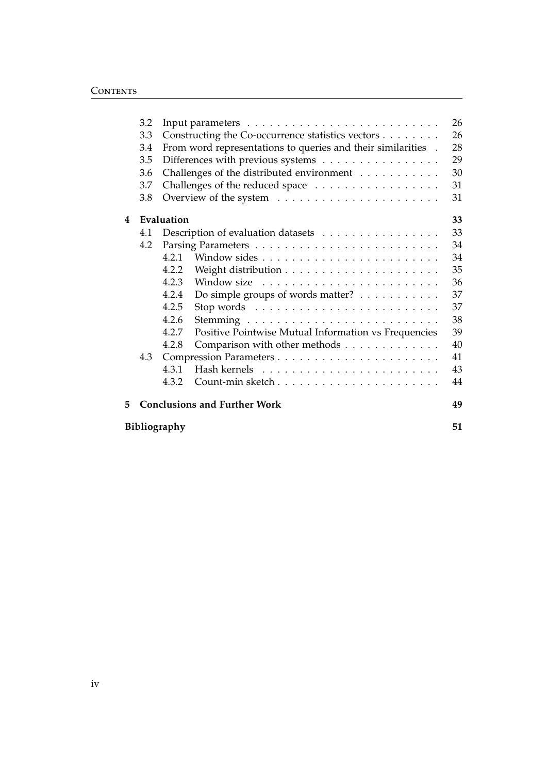|   | 3.2 |              |                                                              | 26 |
|---|-----|--------------|--------------------------------------------------------------|----|
|   | 3.3 |              | Constructing the Co-occurrence statistics vectors            | 26 |
|   | 3.4 |              | From word representations to queries and their similarities. | 28 |
|   | 3.5 |              | Differences with previous systems                            | 29 |
|   | 3.6 |              | Challenges of the distributed environment                    | 30 |
|   | 3.7 |              | Challenges of the reduced space                              | 31 |
|   | 3.8 |              |                                                              | 31 |
| 4 |     | Evaluation   |                                                              | 33 |
|   | 4.1 |              | Description of evaluation datasets                           | 33 |
|   | 4.2 |              |                                                              | 34 |
|   |     | 4.2.1        |                                                              | 34 |
|   |     | 4.2.2        |                                                              | 35 |
|   |     | 4.2.3        |                                                              | 36 |
|   |     | 4.2.4        | Do simple groups of words matter?                            | 37 |
|   |     | 4.2.5        |                                                              | 37 |
|   |     | 4.2.6        |                                                              | 38 |
|   |     | 4.2.7        | Positive Pointwise Mutual Information vs Frequencies         | 39 |
|   |     | 4.2.8        | Comparison with other methods                                | 40 |
|   | 4.3 |              |                                                              | 41 |
|   |     | 4.3.1        |                                                              | 43 |
|   |     | 4.3.2        |                                                              | 44 |
| 5 |     |              | <b>Conclusions and Further Work</b>                          | 49 |
|   |     | Bibliography |                                                              | 51 |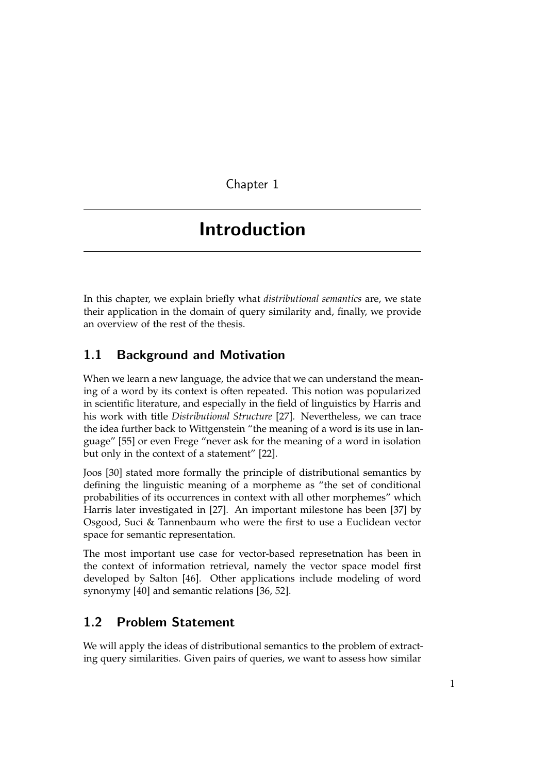Chapter 1

# <span id="page-6-0"></span>Introduction

In this chapter, we explain briefly what *distributional semantics* are, we state their application in the domain of query similarity and, finally, we provide an overview of the rest of the thesis.

## <span id="page-6-1"></span>1.1 Background and Motivation

When we learn a new language, the advice that we can understand the meaning of a word by its context is often repeated. This notion was popularized in scientific literature, and especially in the field of linguistics by Harris and his work with title *Distributional Structure* [\[27\]](#page-58-0). Nevertheless, we can trace the idea further back to Wittgenstein "the meaning of a word is its use in language" [\[55\]](#page-61-0) or even Frege "never ask for the meaning of a word in isolation but only in the context of a statement" [\[22\]](#page-58-1).

Joos [\[30\]](#page-59-0) stated more formally the principle of distributional semantics by defining the linguistic meaning of a morpheme as "the set of conditional probabilities of its occurrences in context with all other morphemes" which Harris later investigated in [\[27\]](#page-58-0). An important milestone has been [\[37\]](#page-59-1) by Osgood, Suci & Tannenbaum who were the first to use a Euclidean vector space for semantic representation.

The most important use case for vector-based represetnation has been in the context of information retrieval, namely the vector space model first developed by Salton [\[46\]](#page-60-0). Other applications include modeling of word synonymy [\[40\]](#page-59-2) and semantic relations [\[36,](#page-59-3) [52\]](#page-60-1).

## <span id="page-6-2"></span>1.2 Problem Statement

We will apply the ideas of distributional semantics to the problem of extracting query similarities. Given pairs of queries, we want to assess how similar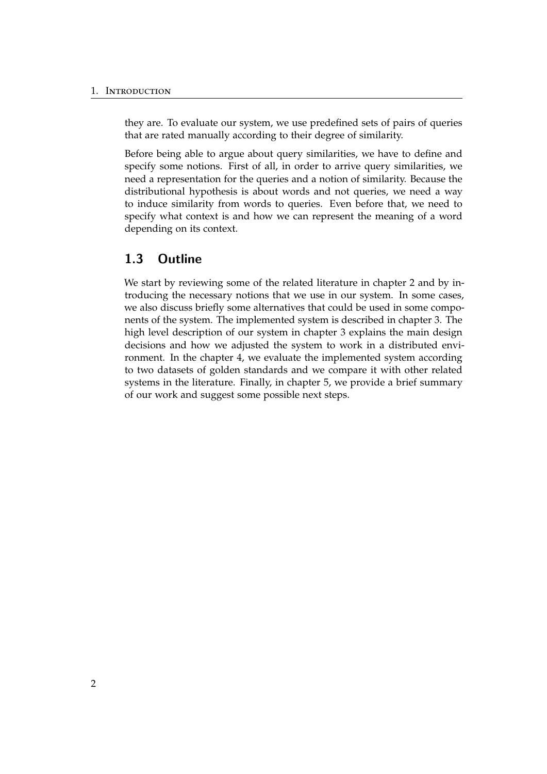#### 1. Introduction

they are. To evaluate our system, we use predefined sets of pairs of queries that are rated manually according to their degree of similarity.

Before being able to argue about query similarities, we have to define and specify some notions. First of all, in order to arrive query similarities, we need a representation for the queries and a notion of similarity. Because the distributional hypothesis is about words and not queries, we need a way to induce similarity from words to queries. Even before that, we need to specify what context is and how we can represent the meaning of a word depending on its context.

## <span id="page-7-0"></span>1.3 Outline

We start by reviewing some of the related literature in chapter [2](#page-8-0) and by introducing the necessary notions that we use in our system. In some cases, we also discuss briefly some alternatives that could be used in some components of the system. The implemented system is described in chapter [3.](#page-30-0) The high level description of our system in chapter [3](#page-30-0) explains the main design decisions and how we adjusted the system to work in a distributed environment. In the chapter [4,](#page-38-0) we evaluate the implemented system according to two datasets of golden standards and we compare it with other related systems in the literature. Finally, in chapter [5,](#page-54-0) we provide a brief summary of our work and suggest some possible next steps.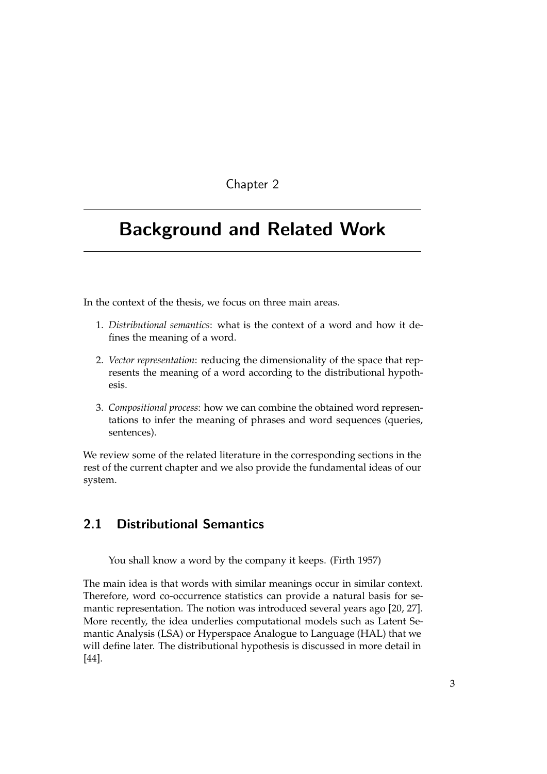## Chapter 2

# <span id="page-8-0"></span>Background and Related Work

In the context of the thesis, we focus on three main areas.

- 1. *Distributional semantics*: what is the context of a word and how it defines the meaning of a word.
- 2. *Vector representation*: reducing the dimensionality of the space that represents the meaning of a word according to the distributional hypothesis.
- 3. *Compositional process*: how we can combine the obtained word representations to infer the meaning of phrases and word sequences (queries, sentences).

We review some of the related literature in the corresponding sections in the rest of the current chapter and we also provide the fundamental ideas of our system.

## <span id="page-8-1"></span>2.1 Distributional Semantics

You shall know a word by the company it keeps. (Firth 1957)

The main idea is that words with similar meanings occur in similar context. Therefore, word co-occurrence statistics can provide a natural basis for semantic representation. The notion was introduced several years ago [\[20,](#page-58-2) [27\]](#page-58-0). More recently, the idea underlies computational models such as Latent Semantic Analysis (LSA) or Hyperspace Analogue to Language (HAL) that we will define later. The distributional hypothesis is discussed in more detail in [\[44\]](#page-60-2).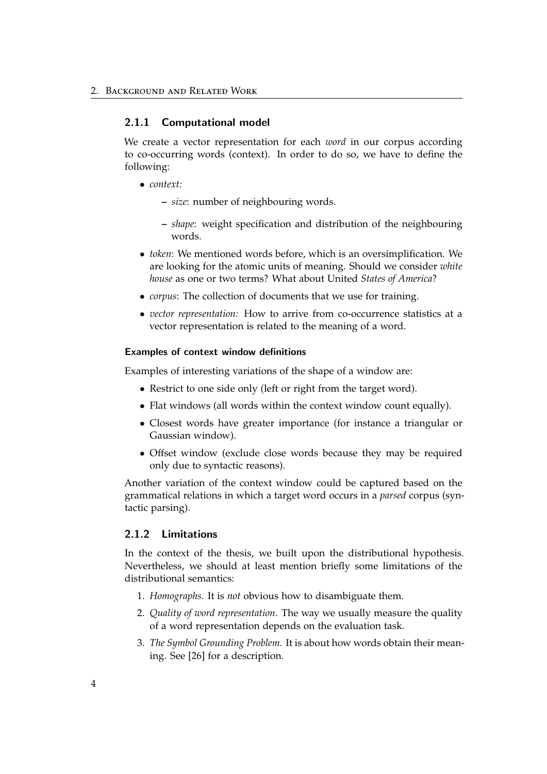### <span id="page-9-0"></span>2.1.1 Computational model

We create a vector representation for each *word* in our corpus according to co-occurring words (context). In order to do so, we have to define the following:

- *context:*
	- **–** *size*: number of neighbouring words.
	- **–** *shape*: weight specification and distribution of the neighbouring words.
- *token*: We mentioned words before, which is an oversimplification. We are looking for the atomic units of meaning. Should we consider *white house* as one or two terms? What about United *States of America*?
- *corpus*: The collection of documents that we use for training.
- *vector representation:* How to arrive from co-occurrence statistics at a vector representation is related to the meaning of a word.

### Examples of context window definitions

Examples of interesting variations of the shape of a window are:

- Restrict to one side only (left or right from the target word).
- Flat windows (all words within the context window count equally).
- Closest words have greater importance (for instance a triangular or Gaussian window).
- Offset window (exclude close words because they may be required only due to syntactic reasons).

Another variation of the context window could be captured based on the grammatical relations in which a target word occurs in a *parsed* corpus (syntactic parsing).

### <span id="page-9-1"></span>2.1.2 Limitations

In the context of the thesis, we built upon the distributional hypothesis. Nevertheless, we should at least mention briefly some limitations of the distributional semantics:

- 1. *Homographs*. It is *not* obvious how to disambiguate them.
- 2. *Quality of word representation*. The way we usually measure the quality of a word representation depends on the evaluation task.
- 3. *The Symbol Grounding Problem.* It is about how words obtain their meaning. See [\[26\]](#page-58-3) for a description.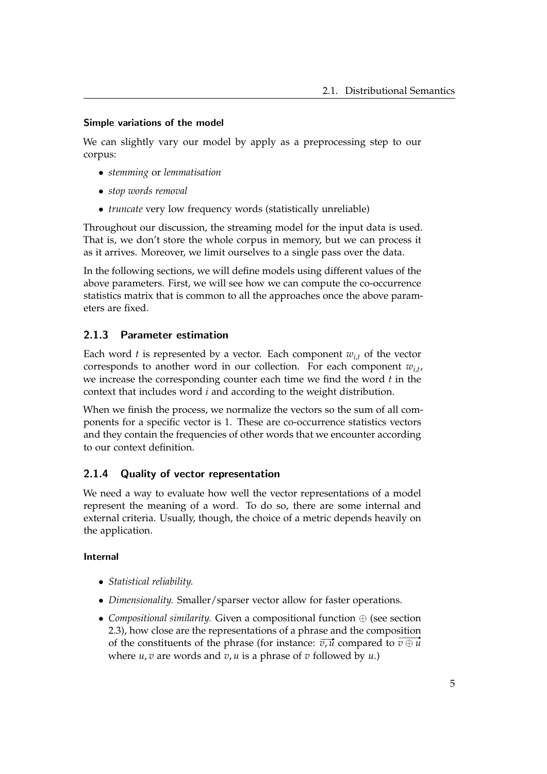## Simple variations of the model

We can slightly vary our model by apply as a preprocessing step to our corpus:

- *stemming* or *lemmatisation*
- *stop words removal*
- *truncate* very low frequency words (statistically unreliable)

Throughout our discussion, the streaming model for the input data is used. That is, we don't store the whole corpus in memory, but we can process it as it arrives. Moreover, we limit ourselves to a single pass over the data.

In the following sections, we will define models using different values of the above parameters. First, we will see how we can compute the co-occurrence statistics matrix that is common to all the approaches once the above parameters are fixed.

## <span id="page-10-0"></span>2.1.3 Parameter estimation

Each word *t* is represented by a vector. Each component  $w_{i,t}$  of the vector corresponds to another word in our collection. For each component  $w_{i,t}$ , we increase the corresponding counter each time we find the word *t* in the context that includes word *i* and according to the weight distribution.

When we finish the process, we normalize the vectors so the sum of all components for a specific vector is 1. These are co-occurrence statistics vectors and they contain the frequencies of other words that we encounter according to our context definition.

## <span id="page-10-1"></span>2.1.4 Quality of vector representation

We need a way to evaluate how well the vector representations of a model represent the meaning of a word. To do so, there are some internal and external criteria. Usually, though, the choice of a metric depends heavily on the application.

## Internal

- *Statistical reliability.*
- *Dimensionality.* Smaller/sparser vector allow for faster operations.
- *Compositional similarity.* Given a compositional function ⊕ (see section [2.3\)](#page-27-0), how close are the representations of a phrase and the composition *c. s*), now close are the representations or a prirase and the composition of the constituents of the phrase (for instance:  $\overline{v}$ ,  $\overline{u}$  compared to  $\overline{v} \oplus \overline{u}$ where  $u, v$  are words and  $v, u$  is a phrase of  $v$  followed by  $u$ .)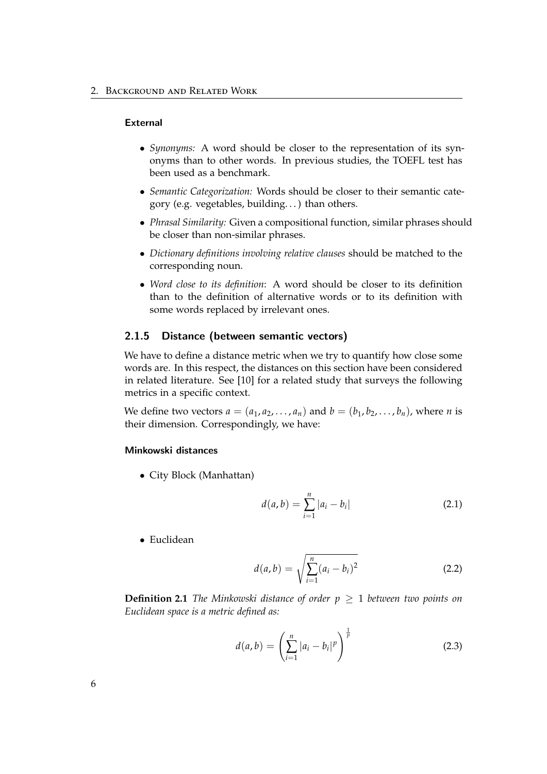#### External

- *Synonyms:* A word should be closer to the representation of its synonyms than to other words. In previous studies, the TOEFL test has been used as a benchmark.
- *Semantic Categorization:* Words should be closer to their semantic category (e.g. vegetables, building. . . ) than others.
- *Phrasal Similarity:* Given a compositional function, similar phrases should be closer than non-similar phrases.
- *Dictionary definitions involving relative clauses* should be matched to the corresponding noun.
- *Word close to its definition*: A word should be closer to its definition than to the definition of alternative words or to its definition with some words replaced by irrelevant ones.

## <span id="page-11-0"></span>2.1.5 Distance (between semantic vectors)

We have to define a distance metric when we try to quantify how close some words are. In this respect, the distances on this section have been considered in related literature. See [\[10\]](#page-57-0) for a related study that surveys the following metrics in a specific context.

We define two vectors  $a = (a_1, a_2, \ldots, a_n)$  and  $b = (b_1, b_2, \ldots, b_n)$ , where *n* is their dimension. Correspondingly, we have:

## Minkowski distances

• City Block (Manhattan)

$$
d(a,b) = \sum_{i=1}^{n} |a_i - b_i|
$$
 (2.1)

• Euclidean

$$
d(a,b) = \sqrt{\sum_{i=1}^{n} (a_i - b_i)^2}
$$
 (2.2)

**Definition 2.1** *The Minkowski distance of order*  $p \geq 1$  *between two points on Euclidean space is a metric defined as:*

$$
d(a,b) = \left(\sum_{i=1}^{n} |a_i - b_i|^p\right)^{\frac{1}{p}}
$$
 (2.3)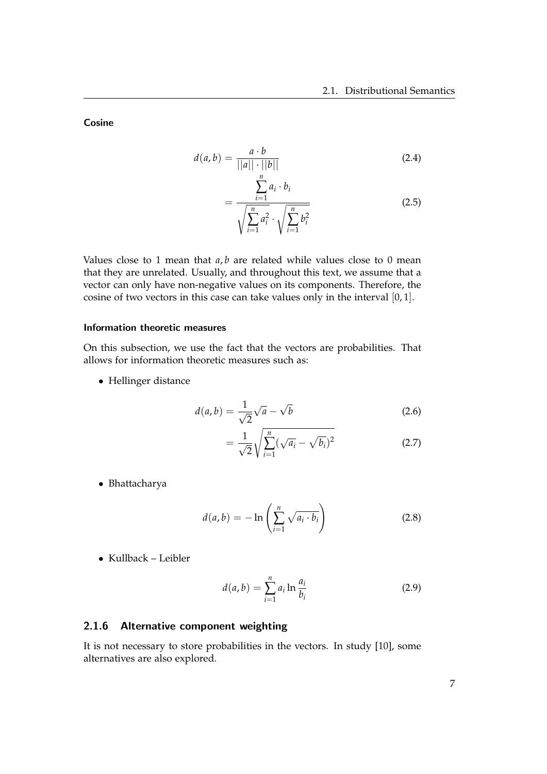<span id="page-12-1"></span>Cosine

$$
d(a,b) = \frac{a \cdot b}{||a|| \cdot ||b||}
$$
\n
$$
= \frac{\sum_{i=1}^{n} a_i \cdot b_i}{\sqrt{\sum_{i=1}^{n} a_i^2} \cdot \sqrt{\sum_{i=1}^{n} b_i^2}}
$$
\n(2.5)

Values close to 1 mean that *a*, *b* are related while values close to 0 mean that they are unrelated. Usually, and throughout this text, we assume that a vector can only have non-negative values on its components. Therefore, the cosine of two vectors in this case can take values only in the interval [0, 1].

## Information theoretic measures

On this subsection, we use the fact that the vectors are probabilities. That allows for information theoretic measures such as:

• Hellinger distance

$$
d(a,b) = \frac{1}{\sqrt{2}}\sqrt{a} - \sqrt{b}
$$
 (2.6)

$$
=\frac{1}{\sqrt{2}}\sqrt{\sum_{i=1}^{n}(\sqrt{a_i}-\sqrt{b_i})^2}
$$
 (2.7)

• Bhattacharya

$$
d(a,b) = -\ln\left(\sum_{i=1}^{n} \sqrt{a_i \cdot b_i}\right)
$$
 (2.8)

• Kullback – Leibler

$$
d(a,b) = \sum_{i=1}^{n} a_i \ln \frac{a_i}{b_i}
$$
 (2.9)

## <span id="page-12-0"></span>2.1.6 Alternative component weighting

It is not necessary to store probabilities in the vectors. In study [\[10\]](#page-57-0), some alternatives are also explored.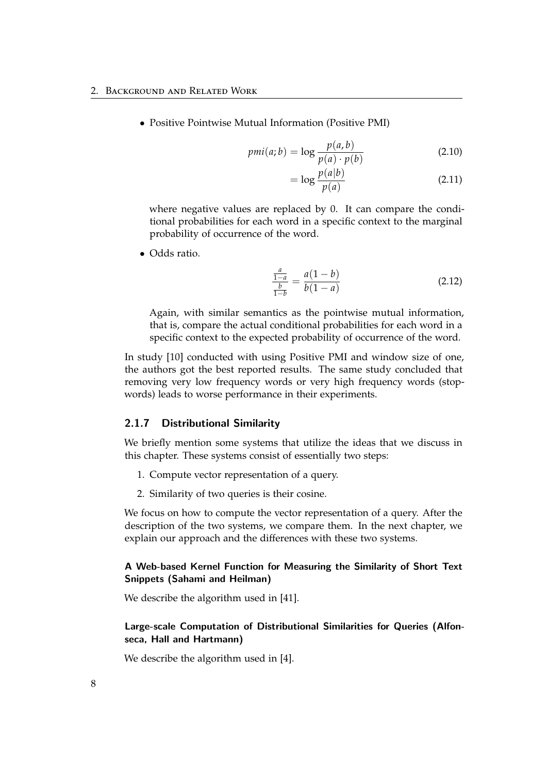• Positive Pointwise Mutual Information (Positive PMI)

$$
pmi(a;b) = \log \frac{p(a,b)}{p(a) \cdot p(b)}
$$
\n(2.10)

$$
= \log \frac{p(a|b)}{p(a)} \tag{2.11}
$$

where negative values are replaced by 0. It can compare the conditional probabilities for each word in a specific context to the marginal probability of occurrence of the word.

• Odds ratio.

$$
\frac{\frac{a}{1-a}}{\frac{b}{1-b}} = \frac{a(1-b)}{b(1-a)}
$$
\n(2.12)

Again, with similar semantics as the pointwise mutual information, that is, compare the actual conditional probabilities for each word in a specific context to the expected probability of occurrence of the word.

In study [\[10\]](#page-57-0) conducted with using Positive PMI and window size of one, the authors got the best reported results. The same study concluded that removing very low frequency words or very high frequency words (stopwords) leads to worse performance in their experiments.

### <span id="page-13-0"></span>2.1.7 Distributional Similarity

We briefly mention some systems that utilize the ideas that we discuss in this chapter. These systems consist of essentially two steps:

- 1. Compute vector representation of a query.
- 2. Similarity of two queries is their cosine.

We focus on how to compute the vector representation of a query. After the description of the two systems, we compare them. In the next chapter, we explain our approach and the differences with these two systems.

## <span id="page-13-1"></span>A Web-based Kernel Function for Measuring the Similarity of Short Text Snippets (Sahami and Heilman)

We describe the algorithm used in [\[41\]](#page-59-4).

## Large-scale Computation of Distributional Similarities for Queries (Alfonseca, Hall and Hartmann)

We describe the algorithm used in [\[4\]](#page-56-1).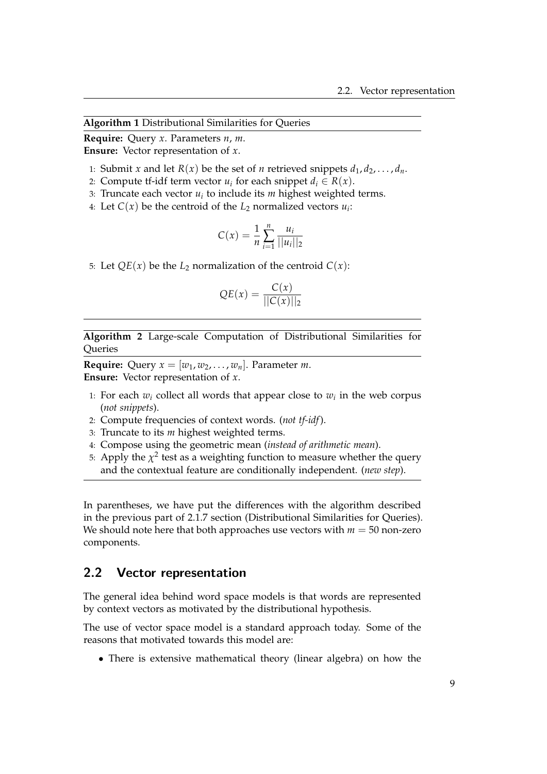**Algorithm 1** Distributional Similarities for Queries

**Require:** Query *x*. Parameters *n*, *m*. **Ensure:** Vector representation of *x*.

- 1: Submit *x* and let  $R(x)$  be the set of *n* retrieved snippets  $d_1, d_2, \ldots, d_n$ .
- 2: Compute tf-idf term vector  $u_i$  for each snippet  $d_i \in R(x)$ .
- 3: Truncate each vector *u<sup>i</sup>* to include its *m* highest weighted terms.
- 4: Let  $C(x)$  be the centroid of the  $L_2$  normalized vectors  $u_i$ :

$$
C(x) = \frac{1}{n} \sum_{i=1}^{n} \frac{u_i}{||u_i||_2}
$$

5: Let  $QE(x)$  be the  $L_2$  normalization of the centroid  $C(x)$ :

$$
QE(x) = \frac{C(x)}{||C(x)||_2}
$$

**Algorithm 2** Large-scale Computation of Distributional Similarities for Queries

**Require:** Query  $x = [w_1, w_2, \dots, w_n]$ . Parameter *m*. **Ensure:** Vector representation of *x*.

- 1: For each  $w_i$  collect all words that appear close to  $w_i$  in the web corpus (*not snippets*).
- 2: Compute frequencies of context words. (*not tf-idf*).
- 3: Truncate to its *m* highest weighted terms.
- 4: Compose using the geometric mean (*instead of arithmetic mean*).
- 5: Apply the  $\chi^2$  test as a weighting function to measure whether the query and the contextual feature are conditionally independent. (*new step*).

In parentheses, we have put the differences with the algorithm described in the previous part of [2.1.7](#page-13-1) section (Distributional Similarities for Queries). We should note here that both approaches use vectors with  $m = 50$  non-zero components.

## <span id="page-14-0"></span>2.2 Vector representation

The general idea behind word space models is that words are represented by context vectors as motivated by the distributional hypothesis.

The use of vector space model is a standard approach today. Some of the reasons that motivated towards this model are:

• There is extensive mathematical theory (linear algebra) on how the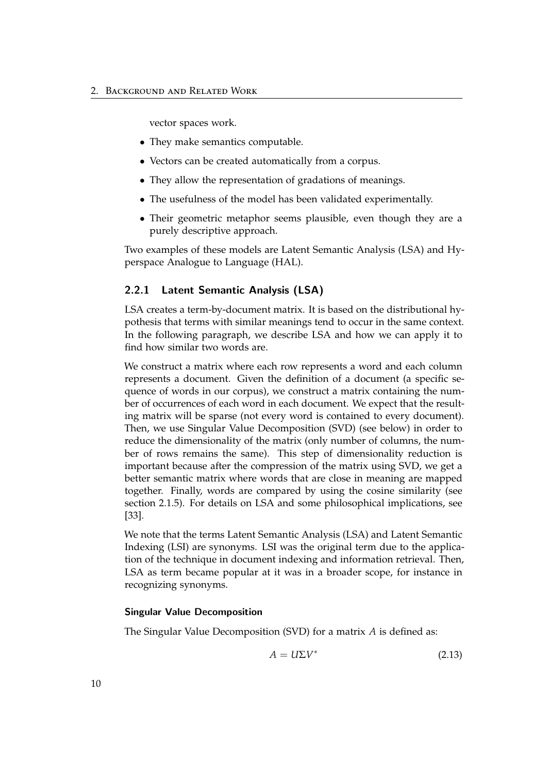#### 2. Background and Related Work

vector spaces work.

- They make semantics computable.
- Vectors can be created automatically from a corpus.
- They allow the representation of gradations of meanings.
- The usefulness of the model has been validated experimentally.
- Their geometric metaphor seems plausible, even though they are a purely descriptive approach.

Two examples of these models are Latent Semantic Analysis (LSA) and Hyperspace Analogue to Language (HAL).

## <span id="page-15-0"></span>2.2.1 Latent Semantic Analysis (LSA)

LSA creates a term-by-document matrix. It is based on the distributional hypothesis that terms with similar meanings tend to occur in the same context. In the following paragraph, we describe LSA and how we can apply it to find how similar two words are.

We construct a matrix where each row represents a word and each column represents a document. Given the definition of a document (a specific sequence of words in our corpus), we construct a matrix containing the number of occurrences of each word in each document. We expect that the resulting matrix will be sparse (not every word is contained to every document). Then, we use Singular Value Decomposition (SVD) (see below) in order to reduce the dimensionality of the matrix (only number of columns, the number of rows remains the same). This step of dimensionality reduction is important because after the compression of the matrix using SVD, we get a better semantic matrix where words that are close in meaning are mapped together. Finally, words are compared by using the cosine similarity (see section [2.1.5\)](#page-12-1). For details on LSA and some philosophical implications, see [\[33\]](#page-59-5).

We note that the terms Latent Semantic Analysis (LSA) and Latent Semantic Indexing (LSI) are synonyms. LSI was the original term due to the application of the technique in document indexing and information retrieval. Then, LSA as term became popular at it was in a broader scope, for instance in recognizing synonyms.

## <span id="page-15-1"></span>Singular Value Decomposition

The Singular Value Decomposition (SVD) for a matrix *A* is defined as:

$$
A = U\Sigma V^* \tag{2.13}
$$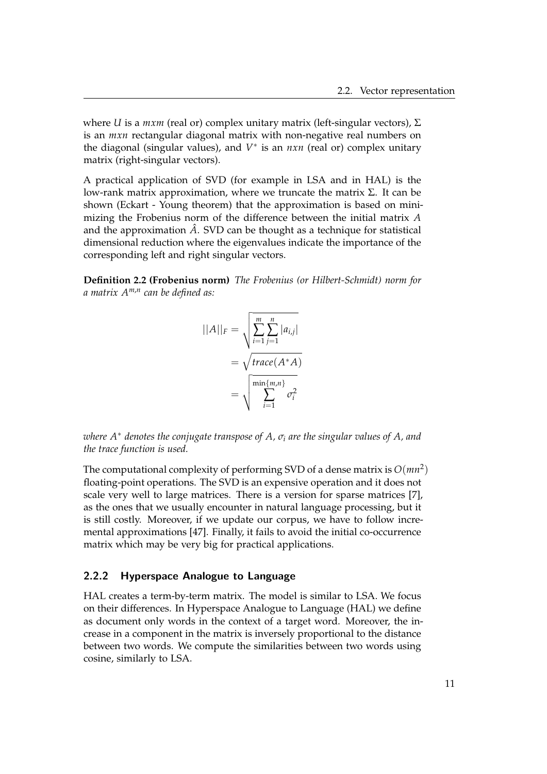where *U* is a *mxm* (real or) complex unitary matrix (left-singular vectors), Σ is an *mxn* rectangular diagonal matrix with non-negative real numbers on the diagonal (singular values), and *V* ∗ is an *nxn* (real or) complex unitary matrix (right-singular vectors).

A practical application of SVD (for example in LSA and in HAL) is the low-rank matrix approximation, where we truncate the matrix Σ. It can be shown (Eckart - Young theorem) that the approximation is based on minimizing the Frobenius norm of the difference between the initial matrix *A* and the approximation  $\hat{A}$ . SVD can be thought as a technique for statistical dimensional reduction where the eigenvalues indicate the importance of the corresponding left and right singular vectors.

**Definition 2.2 (Frobenius norm)** *The Frobenius (or Hilbert-Schmidt) norm for a matrix Am*,*<sup>n</sup> can be defined as:*

$$
||A||_F = \sqrt{\sum_{i=1}^m \sum_{j=1}^n |a_{i,j}|}
$$
  
=  $\sqrt{\text{trace}(A^*A)}$   
=  $\sqrt{\sum_{i=1}^{\min\{m,n\}} \sigma_i^2}$ 

*where A*<sup>∗</sup> *denotes the conjugate transpose of A, σ<sup>i</sup> are the singular values of A, and the trace function is used.*

The computational complexity of performing SVD of a dense matrix is  $O(mn^2)$ floating-point operations. The SVD is an expensive operation and it does not scale very well to large matrices. There is a version for sparse matrices [\[7\]](#page-56-2), as the ones that we usually encounter in natural language processing, but it is still costly. Moreover, if we update our corpus, we have to follow incremental approximations [\[47\]](#page-60-3). Finally, it fails to avoid the initial co-occurrence matrix which may be very big for practical applications.

### <span id="page-16-0"></span>2.2.2 Hyperspace Analogue to Language

HAL creates a term-by-term matrix. The model is similar to LSA. We focus on their differences. In Hyperspace Analogue to Language (HAL) we define as document only words in the context of a target word. Moreover, the increase in a component in the matrix is inversely proportional to the distance between two words. We compute the similarities between two words using cosine, similarly to LSA.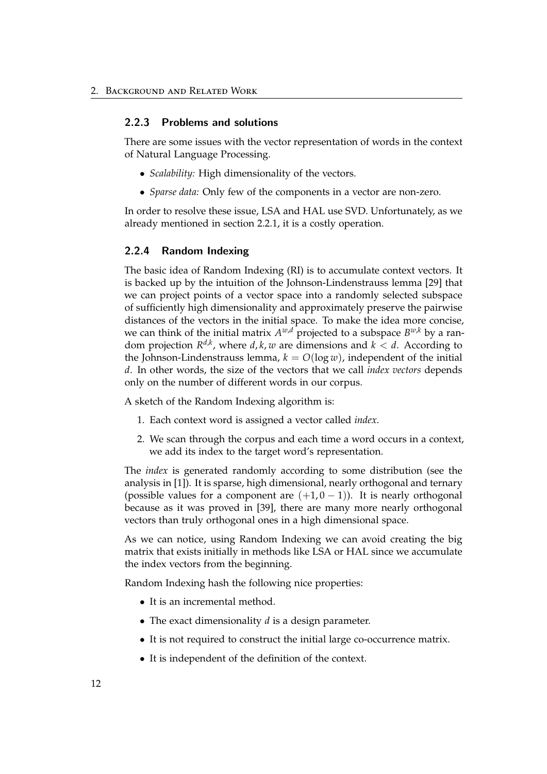## <span id="page-17-0"></span>2.2.3 Problems and solutions

There are some issues with the vector representation of words in the context of Natural Language Processing.

- *Scalability:* High dimensionality of the vectors.
- *Sparse data:* Only few of the components in a vector are non-zero.

In order to resolve these issue, LSA and HAL use SVD. Unfortunately, as we already mentioned in section [2.2.1,](#page-15-1) it is a costly operation.

#### <span id="page-17-1"></span>2.2.4 Random Indexing

The basic idea of Random Indexing (RI) is to accumulate context vectors. It is backed up by the intuition of the Johnson-Lindenstrauss lemma [\[29\]](#page-58-4) that we can project points of a vector space into a randomly selected subspace of sufficiently high dimensionality and approximately preserve the pairwise distances of the vectors in the initial space. To make the idea more concise, we can think of the initial matrix  $A^{w,d}$  projected to a subspace  $B^{w,k}$  by a random projection  $R^{d,k}$ , where  $d, k, w$  are dimensions and  $k < d$ . According to the Johnson-Lindenstrauss lemma,  $k = O(\log w)$ , independent of the initial *d*. In other words, the size of the vectors that we call *index vectors* depends only on the number of different words in our corpus.

A sketch of the Random Indexing algorithm is:

- 1. Each context word is assigned a vector called *index*.
- 2. We scan through the corpus and each time a word occurs in a context, we add its index to the target word's representation.

The *index* is generated randomly according to some distribution (see the analysis in [\[1\]](#page-56-0)). It is sparse, high dimensional, nearly orthogonal and ternary (possible values for a component are  $(+1, 0 - 1)$ ). It is nearly orthogonal because as it was proved in [\[39\]](#page-59-6), there are many more nearly orthogonal vectors than truly orthogonal ones in a high dimensional space.

As we can notice, using Random Indexing we can avoid creating the big matrix that exists initially in methods like LSA or HAL since we accumulate the index vectors from the beginning.

Random Indexing hash the following nice properties:

- It is an incremental method.
- The exact dimensionality *d* is a design parameter.
- It is not required to construct the initial large co-occurrence matrix.
- It is independent of the definition of the context.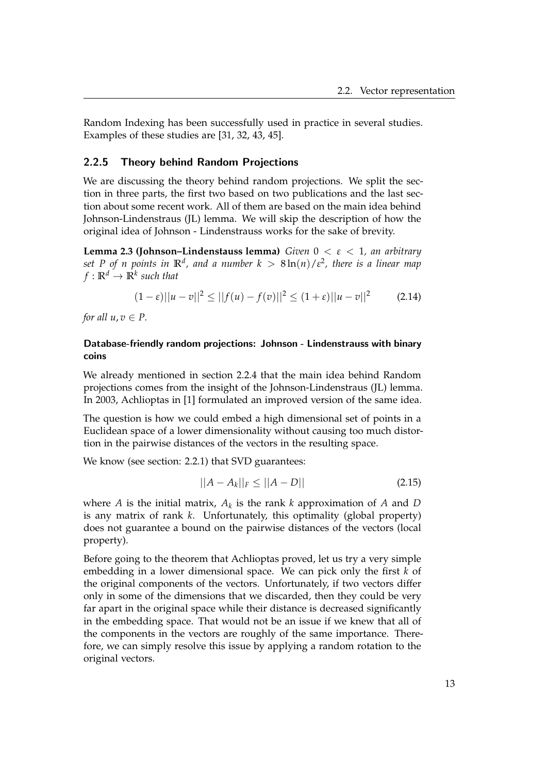Random Indexing has been successfully used in practice in several studies. Examples of these studies are [\[31,](#page-59-7) [32,](#page-59-8) [43,](#page-60-4) [45\]](#page-60-5).

### <span id="page-18-0"></span>2.2.5 Theory behind Random Projections

We are discussing the theory behind random projections. We split the section in three parts, the first two based on two publications and the last section about some recent work. All of them are based on the main idea behind Johnson-Lindenstraus (JL) lemma. We will skip the description of how the original idea of Johnson - Lindenstrauss works for the sake of brevity.

**Lemma 2.3 (Johnson–Lindenstauss lemma)** *Given* 0 < *ε* < 1*, an arbitrary*  $\mathsf{Set}\,$   $P$  of  $n$  points in  $\mathbb{R}^d$ , and a number  $k\,>\,8\ln(n)/\varepsilon^2$ , there is a linear map  $f: \mathbb{R}^d \to \mathbb{R}^k$  such that

$$
(1 - \varepsilon) ||u - v||^2 \le ||f(u) - f(v)||^2 \le (1 + \varepsilon) ||u - v||^2 \tag{2.14}
$$

*for all*  $u, v \in P$ .

## Database-friendly random projections: Johnson - Lindenstrauss with binary coins

We already mentioned in section [2.2.4](#page-17-1) that the main idea behind Random projections comes from the insight of the Johnson-Lindenstraus (JL) lemma. In 2003, Achlioptas in [\[1\]](#page-56-0) formulated an improved version of the same idea.

The question is how we could embed a high dimensional set of points in a Euclidean space of a lower dimensionality without causing too much distortion in the pairwise distances of the vectors in the resulting space.

We know (see section: [2.2.1\)](#page-15-1) that SVD guarantees:

$$
||A - A_k||_F \le ||A - D|| \tag{2.15}
$$

where *A* is the initial matrix, *A<sup>k</sup>* is the rank *k* approximation of *A* and *D* is any matrix of rank *k*. Unfortunately, this optimality (global property) does not guarantee a bound on the pairwise distances of the vectors (local property).

Before going to the theorem that Achlioptas proved, let us try a very simple embedding in a lower dimensional space. We can pick only the first *k* of the original components of the vectors. Unfortunately, if two vectors differ only in some of the dimensions that we discarded, then they could be very far apart in the original space while their distance is decreased significantly in the embedding space. That would not be an issue if we knew that all of the components in the vectors are roughly of the same importance. Therefore, we can simply resolve this issue by applying a random rotation to the original vectors.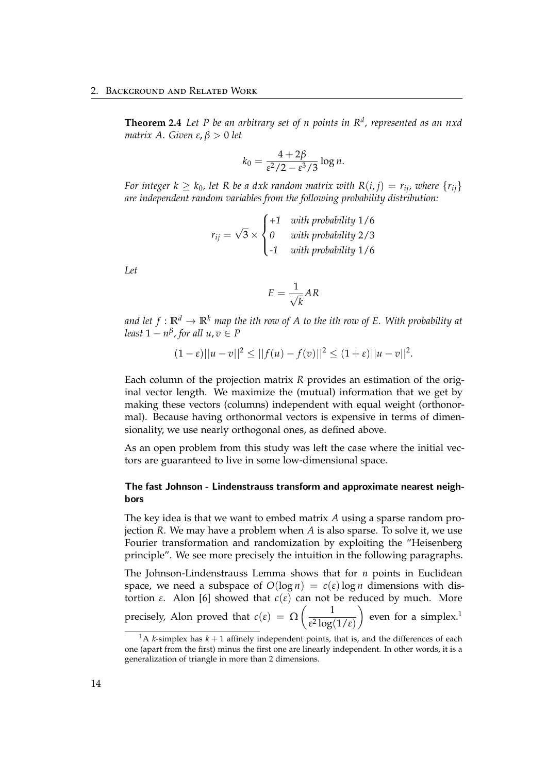**Theorem 2.4** *Let P be an arbitrary set of n points in R<sup>d</sup> , represented as an nxd matrix A. Given ε*, *β* > 0 *let*

$$
k_0 = \frac{4+2\beta}{\varepsilon^2/2 - \varepsilon^3/3} \log n.
$$

*For integer*  $k \geq k_0$ , let R be a dxk random matrix with  $R(i, j) = r_{ij}$ , where  $\{r_{ij}\}$ *are independent random variables from the following probability distribution:*

$$
r_{ij} = \sqrt{3} \times \begin{cases} +1 & \text{with probability } 1/6\\ 0 & \text{with probability } 2/3\\ -1 & \text{with probability } 1/6 \end{cases}
$$

*Let*

$$
E = \frac{1}{\sqrt{k}} AR
$$

*and let*  $f: \mathbb{R}^d \to \mathbb{R}^k$  *map the ith row of A to the ith row of E. With probability at least*  $1 - n^{\beta}$ , for all  $u, v \in P$ 

$$
(1 - \varepsilon) ||u - v||^2 \le ||f(u) - f(v)||^2 \le (1 + \varepsilon) ||u - v||^2.
$$

Each column of the projection matrix *R* provides an estimation of the original vector length. We maximize the (mutual) information that we get by making these vectors (columns) independent with equal weight (orthonormal). Because having orthonormal vectors is expensive in terms of dimensionality, we use nearly orthogonal ones, as defined above.

As an open problem from this study was left the case where the initial vectors are guaranteed to live in some low-dimensional space.

## The fast Johnson - Lindenstrauss transform and approximate nearest neighbors

The key idea is that we want to embed matrix *A* using a sparse random projection *R*. We may have a problem when *A* is also sparse. To solve it, we use Fourier transformation and randomization by exploiting the "Heisenberg principle". We see more precisely the intuition in the following paragraphs.

The Johnson-Lindenstrauss Lemma shows that for *n* points in Euclidean space, we need a subspace of  $O(\log n) = c(\varepsilon) \log n$  dimensions with distortion *ε*. Alon [\[6\]](#page-56-3) showed that  $c(\varepsilon)$  can not be reduced by much. More precisely, Alon proved that  $c(\varepsilon) = \Omega \left( \frac{1}{\sigma^2 \log n} \right)$ *ε* 2 log(1/*ε*)  $\Big)$  even for a simplex.<sup>[1](#page-19-0)</sup>

<span id="page-19-0"></span><sup>&</sup>lt;sup>1</sup>A *k*-simplex has  $k + 1$  affinely independent points, that is, and the differences of each one (apart from the first) minus the first one are linearly independent. In other words, it is a generalization of triangle in more than 2 dimensions.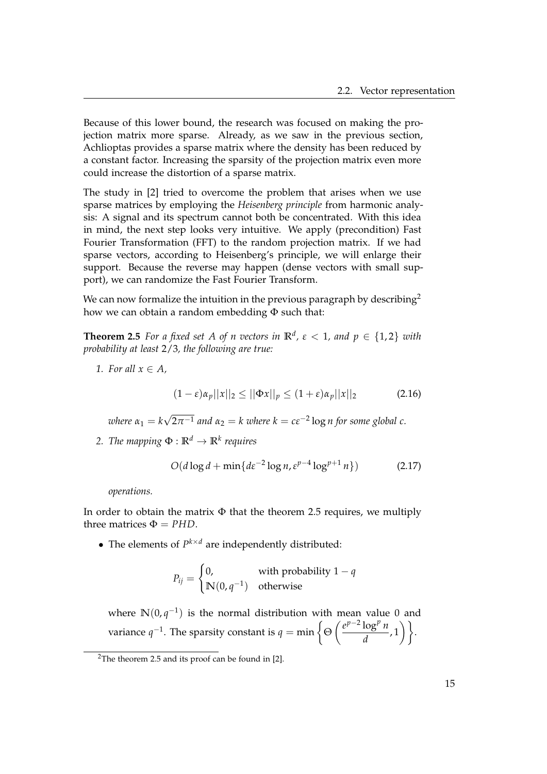Because of this lower bound, the research was focused on making the projection matrix more sparse. Already, as we saw in the previous section, Achlioptas provides a sparse matrix where the density has been reduced by a constant factor. Increasing the sparsity of the projection matrix even more could increase the distortion of a sparse matrix.

The study in [\[2\]](#page-56-4) tried to overcome the problem that arises when we use sparse matrices by employing the *Heisenberg principle* from harmonic analysis: A signal and its spectrum cannot both be concentrated. With this idea in mind, the next step looks very intuitive. We apply (precondition) Fast Fourier Transformation (FFT) to the random projection matrix. If we had sparse vectors, according to Heisenberg's principle, we will enlarge their support. Because the reverse may happen (dense vectors with small support), we can randomize the Fast Fourier Transform.

We can now formalize the intuition in the previous paragraph by describing<sup>[2](#page-20-0)</sup> how we can obtain a random embedding  $\Phi$  such that:

<span id="page-20-1"></span>**Theorem 2.5** *For a fixed set A of n vectors in*  $\mathbb{R}^d$ ,  $\epsilon < 1$ , and  $p \in \{1,2\}$  with *probability at least* 2/3*, the following are true:*

*1. For all*  $x \in A$ *,* 

$$
(1 - \varepsilon)\alpha_p ||x||_2 \le ||\Phi x||_p \le (1 + \varepsilon)\alpha_p ||x||_2 \tag{2.16}
$$

 $where \alpha_1 = k$ √  $\overline{2\pi^{-1}}$  and  $\alpha_2 = k$  where  $k = c\epsilon^{-2}\log n$  for some global  $c$ .

*2. The mapping*  $\Phi$  :  $\mathbb{R}^d \to \mathbb{R}^k$  requires

$$
O(d\log d + \min\{d\varepsilon^{-2}\log n, \varepsilon^{p-4}\log^{p+1} n\})
$$
 (2.17)

*operations.*

In order to obtain the matrix  $\Phi$  that the theorem [2.5](#page-20-1) requires, we multiply three matrices  $\Phi = PHD$ .

• The elements of  $P^{k \times d}$  are independently distributed:

$$
P_{ij} = \begin{cases} 0, & \text{with probability } 1 - q \\ \mathbb{N}(0, q^{-1}) & \text{otherwise} \end{cases}
$$

where  $\mathbb{N}(0, q^{-1})$  is the normal distribution with mean value 0 and variance  $q^{-1}$ . The sparsity constant is  $q = \min \left\{ \Theta \left( \frac{e^{p-2} \log^p n}{1} \right) \right\}$  $\frac{\log^p n}{d}$ , 1) }.

<span id="page-20-0"></span><sup>&</sup>lt;sup>2</sup>The theorem [2.5](#page-20-1) and its proof can be found in [\[2\]](#page-56-4).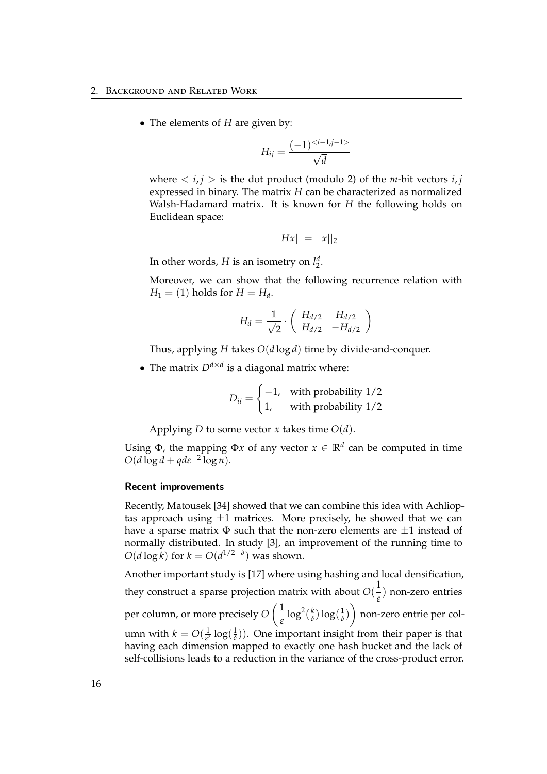• The elements of *H* are given by:

$$
H_{ij} = \frac{(-1)^{}}{\sqrt{d}}
$$

where  $\langle i, j \rangle$  is the dot product (modulo 2) of the *m*-bit vectors  $i, j$ expressed in binary. The matrix *H* can be characterized as normalized Walsh-Hadamard matrix. It is known for *H* the following holds on Euclidean space:

$$
||Hx|| = ||x||_2
$$

In other words, *H* is an isometry on  $l_2^d$ .

Moreover, we can show that the following recurrence relation with  $H_1 = (1)$  holds for  $H = H_d$ .

$$
H_d = \frac{1}{\sqrt{2}} \cdot \left( \begin{array}{cc} H_{d/2} & H_{d/2} \\ H_{d/2} & -H_{d/2} \end{array} \right)
$$

Thus, applying *H* takes *O*(*d* log *d*) time by divide-and-conquer.

• The matrix  $D^{d \times d}$  is a diagonal matrix where:

$$
D_{ii} = \begin{cases} -1, & \text{with probability } 1/2\\ 1, & \text{with probability } 1/2 \end{cases}
$$

Applying *D* to some vector *x* takes time  $O(d)$ .

Using  $\Phi$ , the mapping  $\Phi x$  of any vector  $x \in \mathbb{R}^d$  can be computed in time  $O(d \log d + q d \varepsilon^{-2} \log n).$ 

### Recent improvements

Recently, Matousek [\[34\]](#page-59-9) showed that we can combine this idea with Achlioptas approach using  $\pm 1$  matrices. More precisely, he showed that we can have a sparse matrix  $\Phi$  such that the non-zero elements are  $\pm 1$  instead of normally distributed. In study [\[3\]](#page-56-5), an improvement of the running time to  $O(d \log k)$  for  $k = O(d^{1/2-\delta})$  was shown.

Another important study is [\[17\]](#page-57-1) where using hashing and local densification, they construct a sparse projection matrix with about  $O(\frac{1}{\epsilon})$ *ε* ) non-zero entries per column, or more precisely *O*  $\sqrt{1}$ *ε*  $\log^2(\frac{k}{\delta})$  $\frac{k}{\delta}$ )  $\log(\frac{1}{\delta})$ *δ* ) non-zero entrie per column with  $k = O(\frac{1}{s^2})$  $rac{1}{\epsilon^2} \log(\frac{1}{\delta})$  $\frac{1}{\delta}$ )). One important insight from their paper is that having each dimension mapped to exactly one hash bucket and the lack of self-collisions leads to a reduction in the variance of the cross-product error.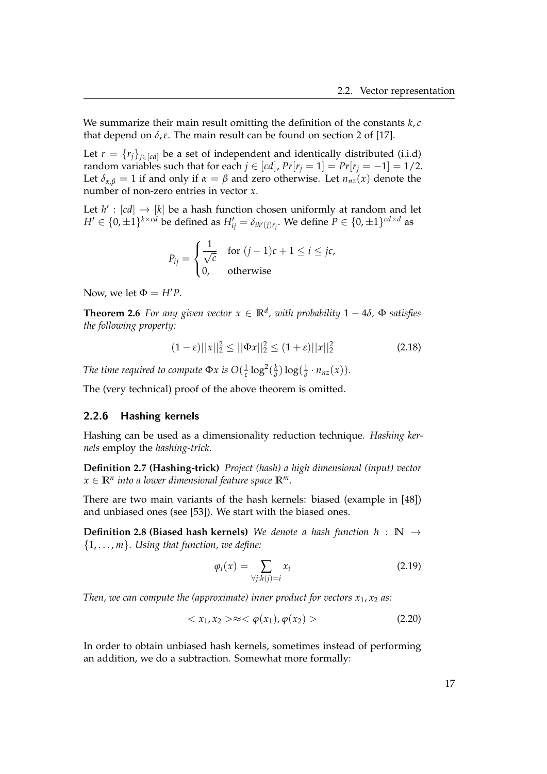We summarize their main result omitting the definition of the constants *k*, *c* that depend on  $\delta$ ,  $\varepsilon$ . The main result can be found on section 2 of [\[17\]](#page-57-1).

Let  $r = {r_j}_{j \in [cd]}$  be a set of independent and identically distributed (i.i.d) random variables such that for each  $j \in [cd]$ ,  $Pr[r_j = 1] = Pr[r_j = -1] = 1/2$ . Let  $\delta_{\alpha,\beta} = 1$  if and only if  $\alpha = \beta$  and zero otherwise. Let  $n_{nz}(x)$  denote the number of non-zero entries in vector *x*.

Let  $h' : [cd] \rightarrow [k]$  be a hash function chosen uniformly at random and let  $H' \in \{0, \pm 1\}^{k \times c\bar{d}}$  be defined as  $H'_{ij} = \delta_{ih'(j)r_j}$ . We define  $P \in \{0, \pm 1\}^{cd \times d}$  as

$$
P_{ij} = \begin{cases} \frac{1}{\sqrt{c}} & \text{for } (j-1)c + 1 \le i \le jc, \\ 0, & \text{otherwise} \end{cases}
$$

Now, we let  $\Phi = H'P$ .

**Theorem 2.6** *For any given vector*  $x \in \mathbb{R}^d$ , with probability  $1 - 4\delta$ ,  $\Phi$  satisfies *the following property:*

$$
(1 - \varepsilon) ||x||_2^2 \le ||\Phi x||_2^2 \le (1 + \varepsilon) ||x||_2^2 \tag{2.18}
$$

*The time required to compute*  $\Phi x$  *is*  $O(\frac{1}{\epsilon})$  $\frac{1}{ε}$  log<sup>2</sup>( $\frac{k}{δ}$  $\frac{k}{\delta}$ )  $\log(\frac{1}{\delta})$  $\frac{1}{\delta} \cdot n_{nz}(x)$ ).

The (very technical) proof of the above theorem is omitted.

## <span id="page-22-0"></span>2.2.6 Hashing kernels

Hashing can be used as a dimensionality reduction technique. *Hashing kernels* employ the *hashing-trick*.

**Definition 2.7 (Hashing-trick)** *Project (hash) a high dimensional (input) vector*  $x \in \mathbb{R}^n$  into a lower dimensional feature space  $\mathbb{R}^m$ .

There are two main variants of the hash kernels: biased (example in [\[48\]](#page-60-6)) and unbiased ones (see [\[53\]](#page-60-7)). We start with the biased ones.

**Definition 2.8 (Biased hash kernels)** *We denote a hash function h* : **N** → {1, . . . , *m*}*. Using that function, we define:*

$$
\varphi_i(x) = \sum_{\forall j: h(j) = i} x_i \tag{2.19}
$$

*Then, we can compute the (approximate) inner product for vectors*  $x_1$ ,  $x_2$  *as:* 

$$
\langle x_1, x_2 \rangle \approx \langle \varphi(x_1), \varphi(x_2) \rangle \tag{2.20}
$$

In order to obtain unbiased hash kernels, sometimes instead of performing an addition, we do a subtraction. Somewhat more formally: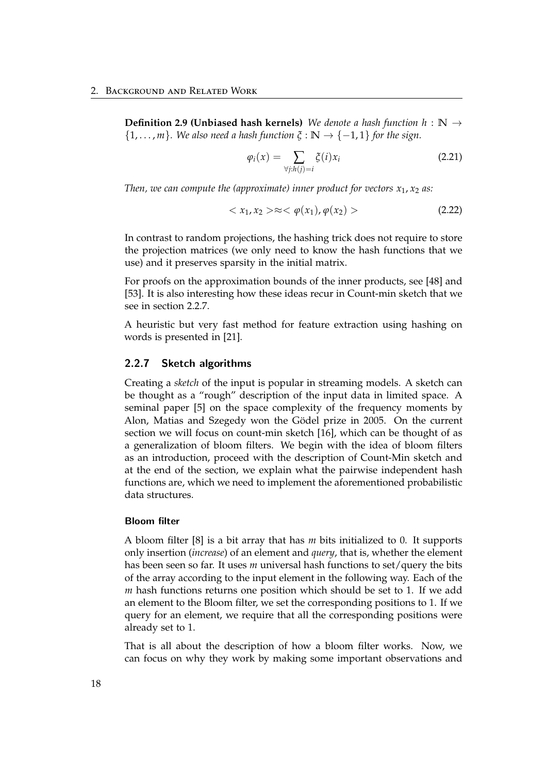**Definition 2.9 (Unbiased hash kernels)** *We denote a hash function h* : **N** →  $\{1,\ldots,m\}$ . We also need a hash function  $\xi:\mathbb{N}\to\{-1,1\}$  for the sign.

$$
\varphi_i(x) = \sum_{\forall j: h(j) = i} \xi(i) x_i \tag{2.21}
$$

*Then, we can compute the (approximate) inner product for vectors*  $x_1$ *,*  $x_2$  *as:* 

$$
\langle x_1, x_2 \rangle \approx \langle \varphi(x_1), \varphi(x_2) \rangle \tag{2.22}
$$

In contrast to random projections, the hashing trick does not require to store the projection matrices (we only need to know the hash functions that we use) and it preserves sparsity in the initial matrix.

For proofs on the approximation bounds of the inner products, see [\[48\]](#page-60-6) and [\[53\]](#page-60-7). It is also interesting how these ideas recur in Count-min sketch that we see in section [2.2.7.](#page-24-0)

A heuristic but very fast method for feature extraction using hashing on words is presented in [\[21\]](#page-58-5).

### <span id="page-23-0"></span>2.2.7 Sketch algorithms

Creating a *sketch* of the input is popular in streaming models. A sketch can be thought as a "rough" description of the input data in limited space. A seminal paper [\[5\]](#page-56-6) on the space complexity of the frequency moments by Alon, Matias and Szegedy won the Gödel prize in 2005. On the current section we will focus on count-min sketch [\[16\]](#page-57-2), which can be thought of as a generalization of bloom filters. We begin with the idea of bloom filters as an introduction, proceed with the description of Count-Min sketch and at the end of the section, we explain what the pairwise independent hash functions are, which we need to implement the aforementioned probabilistic data structures.

#### Bloom filter

A bloom filter [\[8\]](#page-57-3) is a bit array that has *m* bits initialized to 0. It supports only insertion (*increase*) of an element and *query*, that is, whether the element has been seen so far. It uses *m* universal hash functions to set/query the bits of the array according to the input element in the following way. Each of the *m* hash functions returns one position which should be set to 1. If we add an element to the Bloom filter, we set the corresponding positions to 1. If we query for an element, we require that all the corresponding positions were already set to 1.

That is all about the description of how a bloom filter works. Now, we can focus on why they work by making some important observations and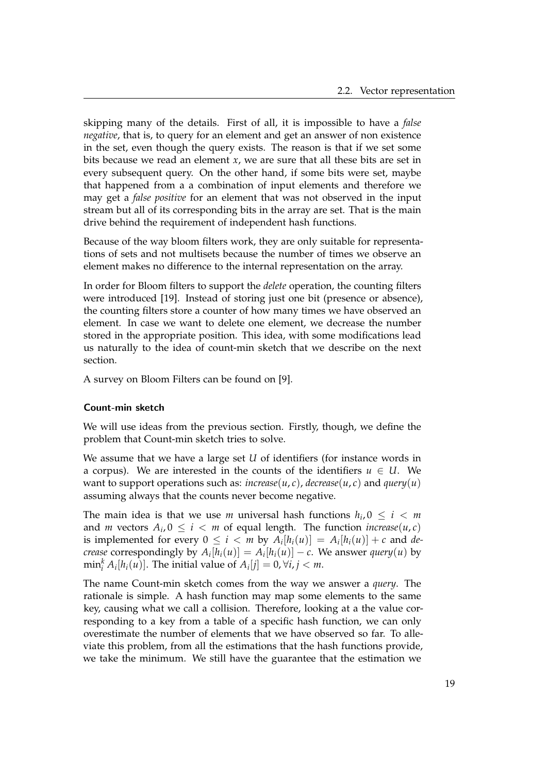skipping many of the details. First of all, it is impossible to have a *false negative*, that is, to query for an element and get an answer of non existence in the set, even though the query exists. The reason is that if we set some bits because we read an element *x*, we are sure that all these bits are set in every subsequent query. On the other hand, if some bits were set, maybe that happened from a a combination of input elements and therefore we may get a *false positive* for an element that was not observed in the input stream but all of its corresponding bits in the array are set. That is the main drive behind the requirement of independent hash functions.

Because of the way bloom filters work, they are only suitable for representations of sets and not multisets because the number of times we observe an element makes no difference to the internal representation on the array.

In order for Bloom filters to support the *delete* operation, the counting filters were introduced [\[19\]](#page-58-6). Instead of storing just one bit (presence or absence), the counting filters store a counter of how many times we have observed an element. In case we want to delete one element, we decrease the number stored in the appropriate position. This idea, with some modifications lead us naturally to the idea of count-min sketch that we describe on the next section.

A survey on Bloom Filters can be found on [\[9\]](#page-57-4).

### <span id="page-24-0"></span>Count-min sketch

We will use ideas from the previous section. Firstly, though, we define the problem that Count-min sketch tries to solve.

We assume that we have a large set *U* of identifiers (for instance words in a corpus). We are interested in the counts of the identifiers  $u \in U$ . We want to support operations such as:  $\text{increase}(u, c)$ ,  $\text{decrease}(u, c)$  and  $\text{query}(u)$ assuming always that the counts never become negative.

The main idea is that we use *m* universal hash functions  $h_i, 0 \leq i < m$ and *m* vectors  $A_i$ ,  $0 \leq i < m$  of equal length. The function *increase*(*u*, *c*) is implemented for every  $0 \leq i < m$  by  $A_i[h_i(u)] = A_i[h_i(u)] + c$  and *decrease* correspondingly by  $A_i[h_i(u)] = A_i[h_i(u)] - c$ . We answer *query*(*u*) by  $\min_i^k A_i[h_i(u)]$ . The initial value of  $A_i[j] = 0, \forall i, j < m$ .

The name Count-min sketch comes from the way we answer a *query*. The rationale is simple. A hash function may map some elements to the same key, causing what we call a collision. Therefore, looking at a the value corresponding to a key from a table of a specific hash function, we can only overestimate the number of elements that we have observed so far. To alleviate this problem, from all the estimations that the hash functions provide, we take the minimum. We still have the guarantee that the estimation we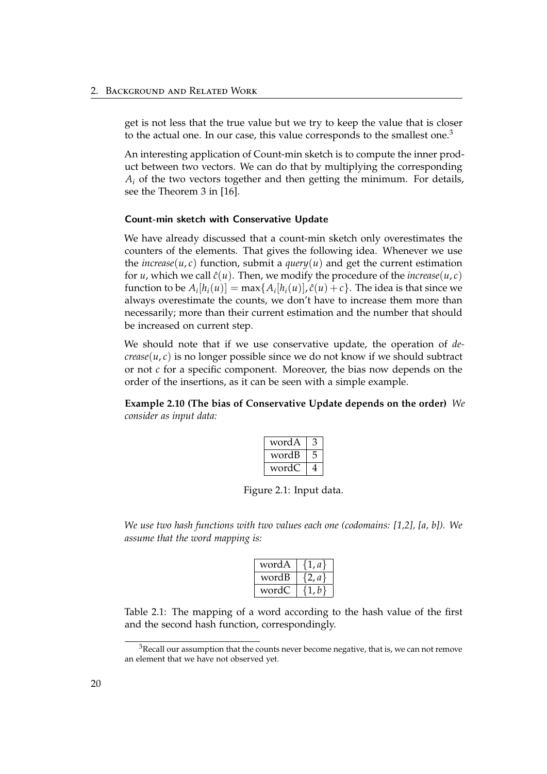get is not less that the true value but we try to keep the value that is closer to the actual one. In our case, this value corresponds to the smallest one.<sup>[3](#page-25-0)</sup>

An interesting application of Count-min sketch is to compute the inner product between two vectors. We can do that by multiplying the corresponding  $A_i$  of the two vectors together and then getting the minimum. For details, see the Theorem 3 in [\[16\]](#page-57-2).

### Count-min sketch with Conservative Update

We have already discussed that a count-min sketch only overestimates the counters of the elements. That gives the following idea. Whenever we use the *increase*( $u$ ,  $c$ ) function, submit a *query*( $u$ ) and get the current estimation for *u*, which we call  $\hat{c}(u)$ . Then, we modify the procedure of the *increase*(*u*, *c*) function to be  $A_i[h_i(u)] = \max\{A_i[h_i(u)], \hat{c}(u) + c\}$ . The idea is that since we always overestimate the counts, we don't have to increase them more than necessarily; more than their current estimation and the number that should be increased on current step.

We should note that if we use conservative update, the operation of *decrease*( $u, c$ ) is no longer possible since we do not know if we should subtract or not *c* for a specific component. Moreover, the bias now depends on the order of the insertions, as it can be seen with a simple example.

**Example 2.10 (The bias of Conservative Update depends on the order)** *We consider as input data:*

| word A |  |
|--------|--|
| wordB  |  |
| wordC  |  |

Figure 2.1: Input data.

*We use two hash functions with two values each one (codomains: [1,2], [a, b]). We assume that the word mapping is:*

| wordA | a Y    |
|-------|--------|
| wordB | $a \}$ |
| wordC | . b    |

Table 2.1: The mapping of a word according to the hash value of the first and the second hash function, correspondingly.

<span id="page-25-0"></span> $3$ Recall our assumption that the counts never become negative, that is, we can not remove an element that we have not observed yet.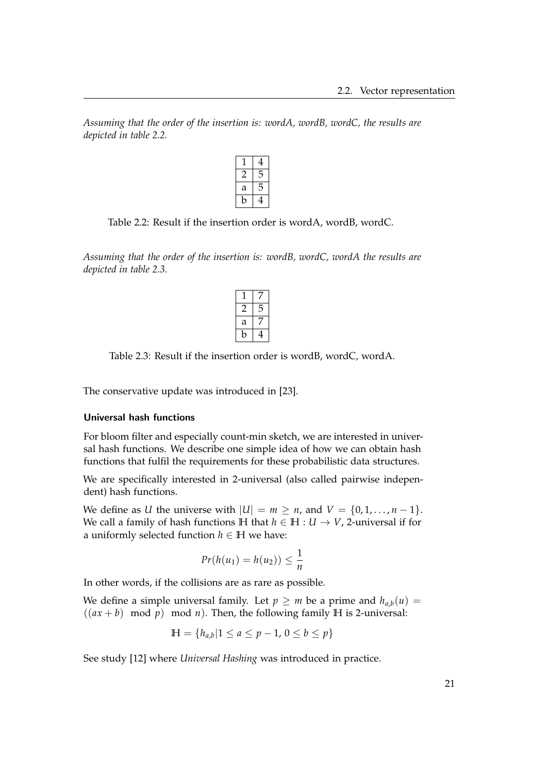<span id="page-26-0"></span>*Assuming that the order of the insertion is: wordA, wordB, wordC, the results are depicted in table [2.2.](#page-26-0)*

|   | 4  |
|---|----|
|   | ╮  |
| а | h, |
|   |    |

Table 2.2: Result if the insertion order is wordA, wordB, wordC.

<span id="page-26-1"></span>*Assuming that the order of the insertion is: wordB, wordC, wordA the results are depicted in table [2.3.](#page-26-1)*

| а |  |
|---|--|
|   |  |

Table 2.3: Result if the insertion order is wordB, wordC, wordA.

The conservative update was introduced in [\[23\]](#page-58-7).

### Universal hash functions

For bloom filter and especially count-min sketch, we are interested in universal hash functions. We describe one simple idea of how we can obtain hash functions that fulfil the requirements for these probabilistic data structures.

We are specifically interested in 2-universal (also called pairwise independent) hash functions.

We define as *U* the universe with  $|U| = m \ge n$ , and  $V = \{0, 1, ..., n - 1\}$ . We call a family of hash functions **H** that  $h \in \mathbb{H}: U \to V$ , 2-universal if for a uniformly selected function  $h \in \mathbb{H}$  we have:

$$
Pr(h(u_1) = h(u_2)) \leq \frac{1}{n}
$$

In other words, if the collisions are as rare as possible.

We define a simple universal family. Let  $p \ge m$  be a prime and  $h_{a,b}(u) =$  $((ax + b) \mod p) \mod n)$ . Then, the following family  $H$  is 2-universal:

$$
\mathbb{H} = \{ h_{a,b} | 1 \le a \le p - 1, \, 0 \le b \le p \}
$$

See study [\[12\]](#page-57-5) where *Universal Hashing* was introduced in practice.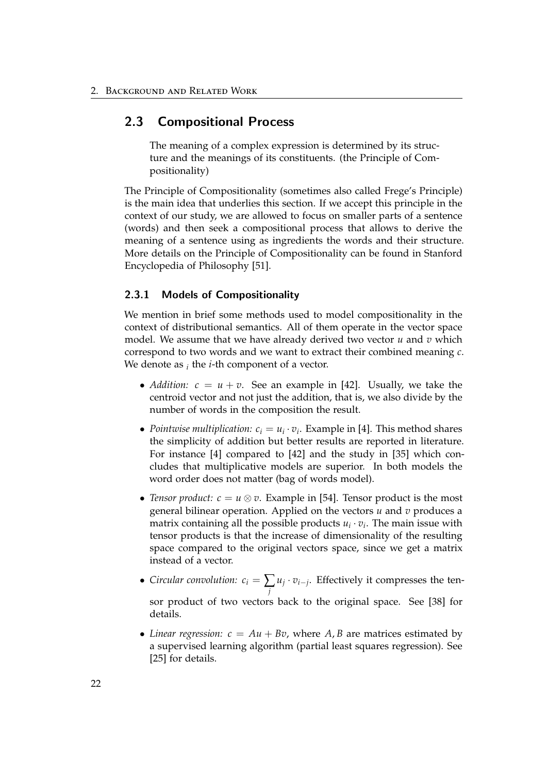## <span id="page-27-0"></span>2.3 Compositional Process

The meaning of a complex expression is determined by its structure and the meanings of its constituents. (the Principle of Compositionality)

The Principle of Compositionality (sometimes also called Frege's Principle) is the main idea that underlies this section. If we accept this principle in the context of our study, we are allowed to focus on smaller parts of a sentence (words) and then seek a compositional process that allows to derive the meaning of a sentence using as ingredients the words and their structure. More details on the Principle of Compositionality can be found in Stanford Encyclopedia of Philosophy [\[51\]](#page-60-8).

## <span id="page-27-1"></span>2.3.1 Models of Compositionality

We mention in brief some methods used to model compositionality in the context of distributional semantics. All of them operate in the vector space model. We assume that we have already derived two vector *u* and *v* which correspond to two words and we want to extract their combined meaning *c*. We denote as *<sup>i</sup>* the *i*-th component of a vector.

- *Addition:*  $c = u + v$ . See an example in [\[42\]](#page-59-10). Usually, we take the centroid vector and not just the addition, that is, we also divide by the number of words in the composition the result.
- *Pointwise multiplication:*  $c_i = u_i \cdot v_i$ . Example in [\[4\]](#page-56-1). This method shares the simplicity of addition but better results are reported in literature. For instance [\[4\]](#page-56-1) compared to [\[42\]](#page-59-10) and the study in [\[35\]](#page-59-11) which concludes that multiplicative models are superior. In both models the word order does not matter (bag of words model).
- *Tensor product:*  $c = u \otimes v$ . Example in [\[54\]](#page-61-1). Tensor product is the most general bilinear operation. Applied on the vectors *u* and *v* produces a matrix containing all the possible products  $u_i \cdot v_i$ . The main issue with tensor products is that the increase of dimensionality of the resulting space compared to the original vectors space, since we get a matrix instead of a vector.
- *Circular convolution:*  $c_i = \sum_j$  $u_j \cdot v_{i-j}$ . Effectively it compresses the tensor product of two vectors back to the original space. See [\[38\]](#page-59-12) for details.
- *Linear regression:*  $c = Au + Bv$ , where A, B are matrices estimated by a supervised learning algorithm (partial least squares regression). See [\[25\]](#page-58-8) for details.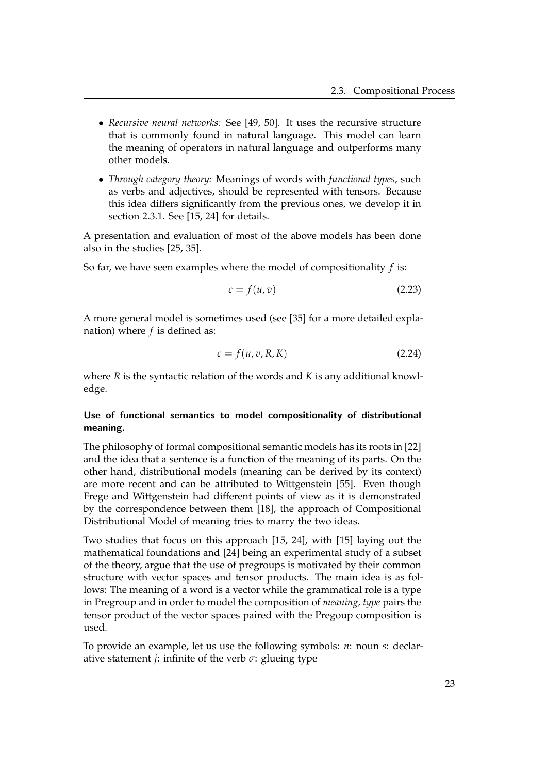- *Recursive neural networks:* See [\[49,](#page-60-9) [50\]](#page-60-10). It uses the recursive structure that is commonly found in natural language. This model can learn the meaning of operators in natural language and outperforms many other models.
- *Through category theory:* Meanings of words with *functional types*, such as verbs and adjectives, should be represented with tensors. Because this idea differs significantly from the previous ones, we develop it in section [2.3.1.](#page-28-0) See [\[15,](#page-57-6) [24\]](#page-58-9) for details.

A presentation and evaluation of most of the above models has been done also in the studies [\[25,](#page-58-8) [35\]](#page-59-11).

So far, we have seen examples where the model of compositionality *f* is:

$$
c = f(u, v) \tag{2.23}
$$

A more general model is sometimes used (see [\[35\]](#page-59-11) for a more detailed explanation) where *f* is defined as:

$$
c = f(u, v, R, K) \tag{2.24}
$$

where *R* is the syntactic relation of the words and *K* is any additional knowledge.

## <span id="page-28-0"></span>Use of functional semantics to model compositionality of distributional meaning.

The philosophy of formal compositional semantic models has its roots in [\[22\]](#page-58-1) and the idea that a sentence is a function of the meaning of its parts. On the other hand, distributional models (meaning can be derived by its context) are more recent and can be attributed to Wittgenstein [\[55\]](#page-61-0). Even though Frege and Wittgenstein had different points of view as it is demonstrated by the correspondence between them [\[18\]](#page-57-7), the approach of Compositional Distributional Model of meaning tries to marry the two ideas.

Two studies that focus on this approach [\[15,](#page-57-6) [24\]](#page-58-9), with [\[15\]](#page-57-6) laying out the mathematical foundations and [\[24\]](#page-58-9) being an experimental study of a subset of the theory, argue that the use of pregroups is motivated by their common structure with vector spaces and tensor products. The main idea is as follows: The meaning of a word is a vector while the grammatical role is a type in Pregroup and in order to model the composition of *meaning, type* pairs the tensor product of the vector spaces paired with the Pregoup composition is used.

To provide an example, let us use the following symbols: *n*: noun *s*: declarative statement *j*: infinite of the verb  $\sigma$ : glueing type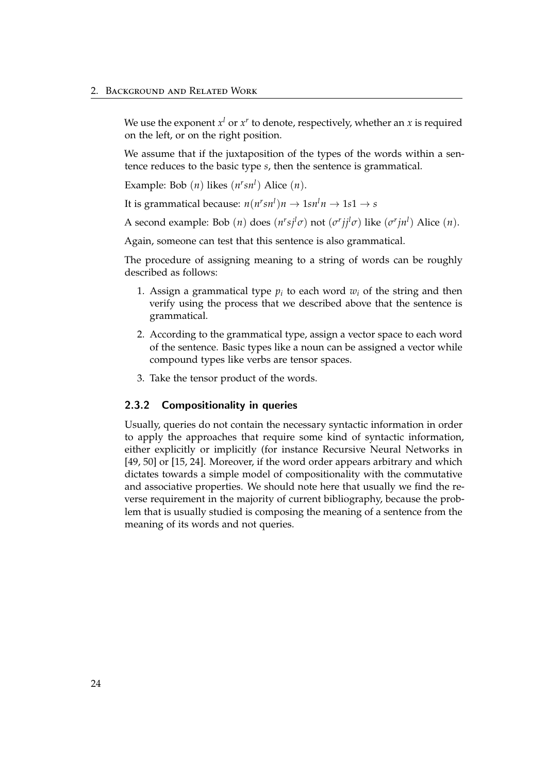We use the exponent  $x^l$  or  $x^r$  to denote, respectively, whether an  $x$  is required on the left, or on the right position.

We assume that if the juxtaposition of the types of the words within a sentence reduces to the basic type *s*, then the sentence is grammatical.

Example: Bob  $(n)$  likes  $(n<sup>r</sup>sn<sup>l</sup>)$  Alice  $(n)$ .

It is grammatical because:  $n(n^r s n^l) n \rightarrow 1 s n^l n \rightarrow 1 s 1 \rightarrow s$ 

A second example: Bob  $(n)$  does  $(n^r s j^l \sigma)$  not  $(\sigma^r j j^l \sigma)$  like  $(\sigma^r j n^l)$  Alice  $(n)$ .

Again, someone can test that this sentence is also grammatical.

The procedure of assigning meaning to a string of words can be roughly described as follows:

- 1. Assign a grammatical type  $p_i$  to each word  $w_i$  of the string and then verify using the process that we described above that the sentence is grammatical.
- 2. According to the grammatical type, assign a vector space to each word of the sentence. Basic types like a noun can be assigned a vector while compound types like verbs are tensor spaces.
- 3. Take the tensor product of the words.

### <span id="page-29-0"></span>2.3.2 Compositionality in queries

Usually, queries do not contain the necessary syntactic information in order to apply the approaches that require some kind of syntactic information, either explicitly or implicitly (for instance Recursive Neural Networks in [\[49,](#page-60-9) [50\]](#page-60-10) or [\[15,](#page-57-6) [24\]](#page-58-9). Moreover, if the word order appears arbitrary and which dictates towards a simple model of compositionality with the commutative and associative properties. We should note here that usually we find the reverse requirement in the majority of current bibliography, because the problem that is usually studied is composing the meaning of a sentence from the meaning of its words and not queries.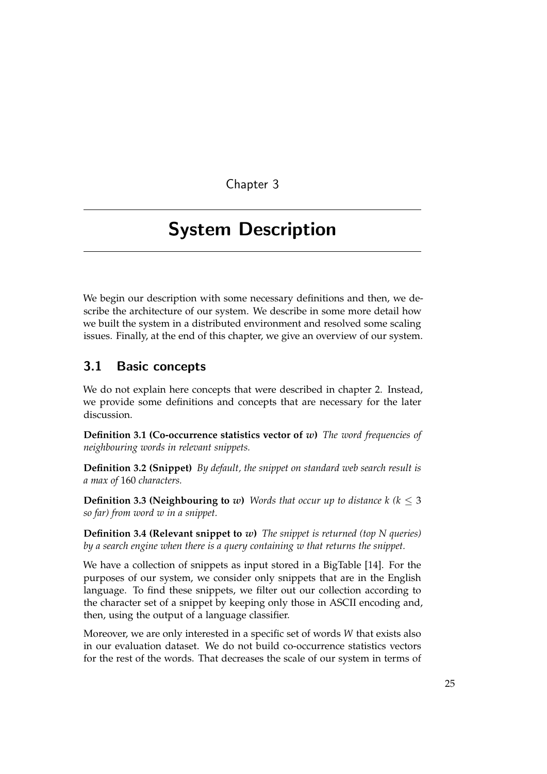Chapter 3

# <span id="page-30-0"></span>System Description

We begin our description with some necessary definitions and then, we describe the architecture of our system. We describe in some more detail how we built the system in a distributed environment and resolved some scaling issues. Finally, at the end of this chapter, we give an overview of our system.

## <span id="page-30-1"></span>3.1 Basic concepts

We do not explain here concepts that were described in chapter [2.](#page-8-0) Instead, we provide some definitions and concepts that are necessary for the later discussion.

**Definition 3.1 (Co-occurrence statistics vector of** *w***)** *The word frequencies of neighbouring words in relevant snippets.*

**Definition 3.2 (Snippet)** *By default, the snippet on standard web search result is a max of* 160 *characters.*

**Definition 3.3 (Neighbouring to** *w*) *Words that occur up to distance*  $k$  ( $k < 3$ ) *so far) from word w in a snippet.*

**Definition 3.4 (Relevant snippet to** *w***)** *The snippet is returned (top N queries) by a search engine when there is a query containing w that returns the snippet.*

We have a collection of snippets as input stored in a BigTable [\[14\]](#page-57-8). For the purposes of our system, we consider only snippets that are in the English language. To find these snippets, we filter out our collection according to the character set of a snippet by keeping only those in ASCII encoding and, then, using the output of a language classifier.

Moreover, we are only interested in a specific set of words *W* that exists also in our evaluation dataset. We do not build co-occurrence statistics vectors for the rest of the words. That decreases the scale of our system in terms of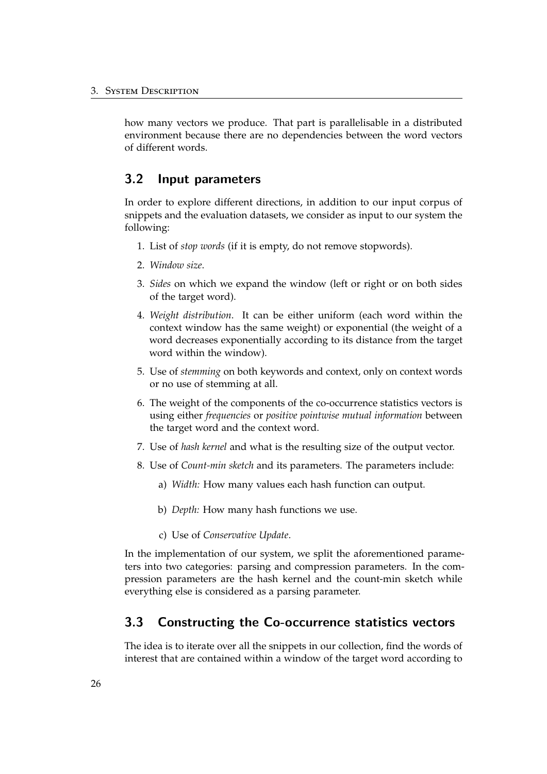how many vectors we produce. That part is parallelisable in a distributed environment because there are no dependencies between the word vectors of different words.

## <span id="page-31-0"></span>3.2 Input parameters

In order to explore different directions, in addition to our input corpus of snippets and the evaluation datasets, we consider as input to our system the following:

- 1. List of *stop words* (if it is empty, do not remove stopwords).
- 2. *Window size*.
- 3. *Sides* on which we expand the window (left or right or on both sides of the target word).
- 4. *Weight distribution*. It can be either uniform (each word within the context window has the same weight) or exponential (the weight of a word decreases exponentially according to its distance from the target word within the window).
- 5. Use of *stemming* on both keywords and context, only on context words or no use of stemming at all.
- 6. The weight of the components of the co-occurrence statistics vectors is using either *frequencies* or *positive pointwise mutual information* between the target word and the context word.
- 7. Use of *hash kernel* and what is the resulting size of the output vector.
- 8. Use of *Count-min sketch* and its parameters. The parameters include:
	- a) *Width:* How many values each hash function can output.
	- b) *Depth:* How many hash functions we use.
	- c) Use of *Conservative Update*.

In the implementation of our system, we split the aforementioned parameters into two categories: parsing and compression parameters. In the compression parameters are the hash kernel and the count-min sketch while everything else is considered as a parsing parameter.

## <span id="page-31-1"></span>3.3 Constructing the Co-occurrence statistics vectors

The idea is to iterate over all the snippets in our collection, find the words of interest that are contained within a window of the target word according to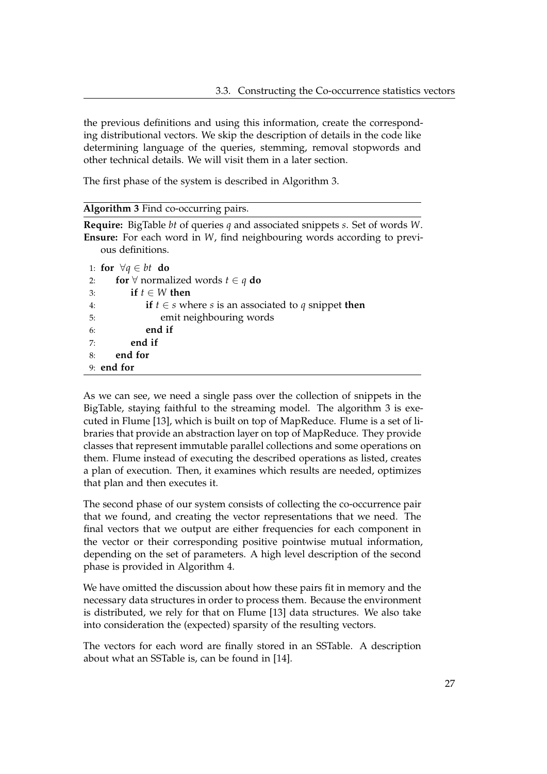the previous definitions and using this information, create the corresponding distributional vectors. We skip the description of details in the code like determining language of the queries, stemming, removal stopwords and other technical details. We will visit them in a later section.

The first phase of the system is described in Algorithm [3.](#page-32-0)

#### <span id="page-32-0"></span>**Algorithm 3** Find co-occurring pairs.

**Require:** BigTable *bt* of queries *q* and associated snippets *s*. Set of words *W*. **Ensure:** For each word in *W*, find neighbouring words according to previous definitions.

|    | 1: for $\forall q \in bt$ do                                          |
|----|-----------------------------------------------------------------------|
| 2: | <b>for</b> $\forall$ normalized words $t \in q$ <b>do</b>             |
| 3: | if $t \in W$ then                                                     |
| 4: | <b>if</b> $t \in s$ where s is an associated to q snippet <b>then</b> |
| 5: | emit neighbouring words                                               |
| 6: | end if                                                                |
| 7: | end if                                                                |
| 8: | end for                                                               |
|    | 9: end for                                                            |

As we can see, we need a single pass over the collection of snippets in the BigTable, staying faithful to the streaming model. The algorithm [3](#page-32-0) is executed in Flume [\[13\]](#page-57-9), which is built on top of MapReduce. Flume is a set of libraries that provide an abstraction layer on top of MapReduce. They provide classes that represent immutable parallel collections and some operations on them. Flume instead of executing the described operations as listed, creates a plan of execution. Then, it examines which results are needed, optimizes that plan and then executes it.

The second phase of our system consists of collecting the co-occurrence pair that we found, and creating the vector representations that we need. The final vectors that we output are either frequencies for each component in the vector or their corresponding positive pointwise mutual information, depending on the set of parameters. A high level description of the second phase is provided in Algorithm [4.](#page-33-1)

We have omitted the discussion about how these pairs fit in memory and the necessary data structures in order to process them. Because the environment is distributed, we rely for that on Flume [\[13\]](#page-57-9) data structures. We also take into consideration the (expected) sparsity of the resulting vectors.

The vectors for each word are finally stored in an SSTable. A description about what an SSTable is, can be found in [\[14\]](#page-57-8).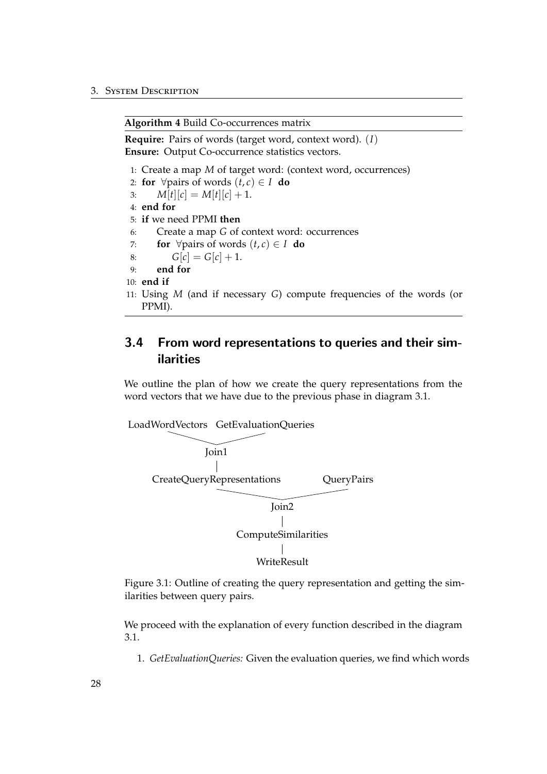<span id="page-33-1"></span>**Algorithm 4** Build Co-occurrences matrix

**Require:** Pairs of words (target word, context word). (*I*) **Ensure:** Output Co-occurrence statistics vectors.

1: Create a map *M* of target word: (context word, occurrences)

2: **for**  $\forall$  pairs of words  $(t, c) \in I$  **do** 3:  $M[t][c] = M[t][c] + 1.$ 4: **end for** 5: **if** we need PPMI **then** 6: Create a map *G* of context word: occurrences 7: **for**  $\forall$  pairs of words  $(t, c) \in I$  **do** 8:  $G[c] = G[c] + 1.$ 9: **end for** 10: **end if** 11: Using *M* (and if necessary *G*) compute frequencies of the words (or PPMI).

## <span id="page-33-0"></span>3.4 From word representations to queries and their similarities

We outline the plan of how we create the query representations from the word vectors that we have due to the previous phase in diagram [3.1.](#page-33-2)

<span id="page-33-2"></span>

Figure 3.1: Outline of creating the query representation and getting the similarities between query pairs.

We proceed with the explanation of every function described in the diagram [3.1.](#page-33-2)

1. *GetEvaluationQueries:* Given the evaluation queries, we find which words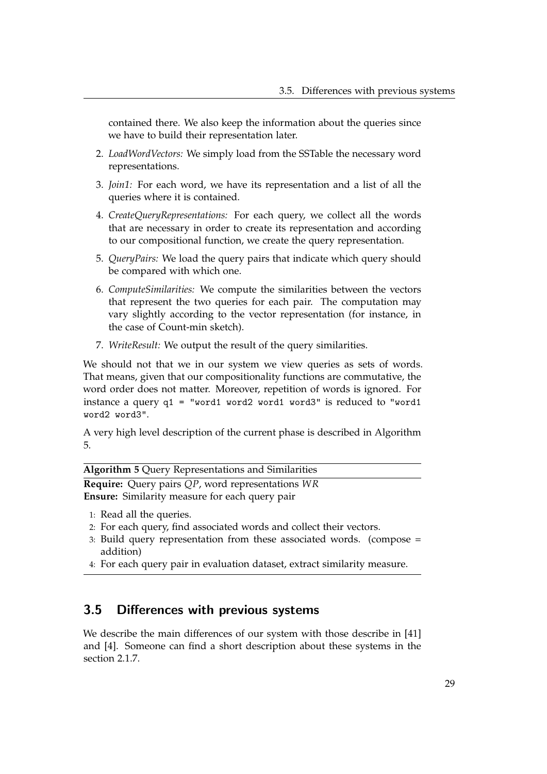contained there. We also keep the information about the queries since we have to build their representation later.

- 2. *LoadWordVectors:* We simply load from the SSTable the necessary word representations.
- 3. *Join1:* For each word, we have its representation and a list of all the queries where it is contained.
- 4. *CreateQueryRepresentations:* For each query, we collect all the words that are necessary in order to create its representation and according to our compositional function, we create the query representation.
- 5. *QueryPairs:* We load the query pairs that indicate which query should be compared with which one.
- 6. *ComputeSimilarities:* We compute the similarities between the vectors that represent the two queries for each pair. The computation may vary slightly according to the vector representation (for instance, in the case of Count-min sketch).
- 7. *WriteResult:* We output the result of the query similarities.

We should not that we in our system we view queries as sets of words. That means, given that our compositionality functions are commutative, the word order does not matter. Moreover, repetition of words is ignored. For instance a query q1 = "word1 word2 word1 word3" is reduced to "word1 word2 word3".

A very high level description of the current phase is described in Algorithm [5.](#page-34-1)

<span id="page-34-1"></span>**Algorithm 5** Query Representations and Similarities

**Require:** Query pairs *QP*, word representations *WR* **Ensure:** Similarity measure for each query pair

- 1: Read all the queries.
- 2: For each query, find associated words and collect their vectors.
- 3: Build query representation from these associated words. (compose = addition)
- 4: For each query pair in evaluation dataset, extract similarity measure.

## <span id="page-34-0"></span>3.5 Differences with previous systems

We describe the main differences of our system with those describe in [\[41\]](#page-59-4) and [\[4\]](#page-56-1). Someone can find a short description about these systems in the section [2.1.7.](#page-13-0)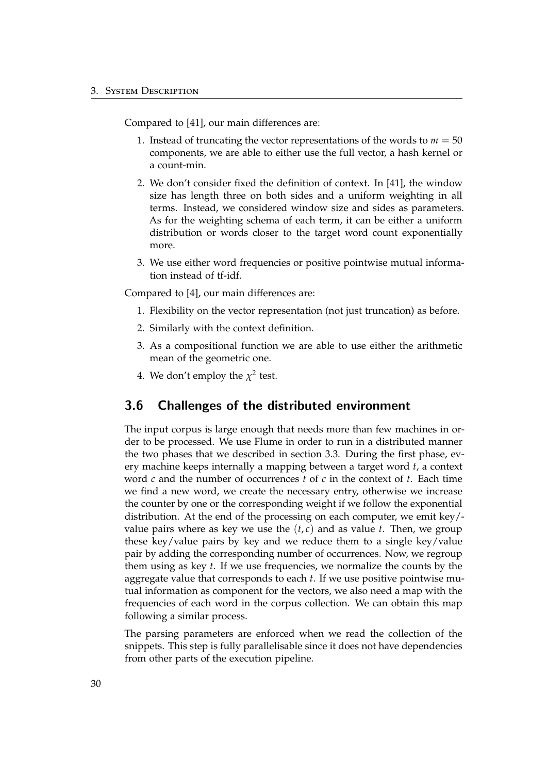Compared to [\[41\]](#page-59-4), our main differences are:

- 1. Instead of truncating the vector representations of the words to  $m = 50$ components, we are able to either use the full vector, a hash kernel or a count-min.
- 2. We don't consider fixed the definition of context. In [\[41\]](#page-59-4), the window size has length three on both sides and a uniform weighting in all terms. Instead, we considered window size and sides as parameters. As for the weighting schema of each term, it can be either a uniform distribution or words closer to the target word count exponentially more.
- 3. We use either word frequencies or positive pointwise mutual information instead of tf-idf.

Compared to [\[4\]](#page-56-1), our main differences are:

- 1. Flexibility on the vector representation (not just truncation) as before.
- 2. Similarly with the context definition.
- 3. As a compositional function we are able to use either the arithmetic mean of the geometric one.
- 4. We don't employ the  $\chi^2$  test.

## <span id="page-35-0"></span>3.6 Challenges of the distributed environment

The input corpus is large enough that needs more than few machines in order to be processed. We use Flume in order to run in a distributed manner the two phases that we described in section [3.3.](#page-31-1) During the first phase, every machine keeps internally a mapping between a target word *t*, a context word *c* and the number of occurrences *t* of *c* in the context of *t*. Each time we find a new word, we create the necessary entry, otherwise we increase the counter by one or the corresponding weight if we follow the exponential distribution. At the end of the processing on each computer, we emit key/ value pairs where as key we use the  $(t, c)$  and as value  $t$ . Then, we group these key/value pairs by key and we reduce them to a single key/value pair by adding the corresponding number of occurrences. Now, we regroup them using as key *t*. If we use frequencies, we normalize the counts by the aggregate value that corresponds to each *t*. If we use positive pointwise mutual information as component for the vectors, we also need a map with the frequencies of each word in the corpus collection. We can obtain this map following a similar process.

The parsing parameters are enforced when we read the collection of the snippets. This step is fully parallelisable since it does not have dependencies from other parts of the execution pipeline.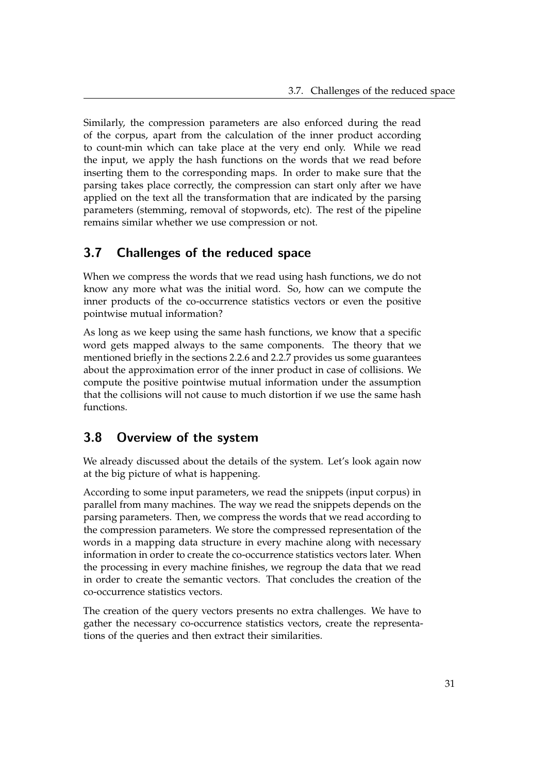Similarly, the compression parameters are also enforced during the read of the corpus, apart from the calculation of the inner product according to count-min which can take place at the very end only. While we read the input, we apply the hash functions on the words that we read before inserting them to the corresponding maps. In order to make sure that the parsing takes place correctly, the compression can start only after we have applied on the text all the transformation that are indicated by the parsing parameters (stemming, removal of stopwords, etc). The rest of the pipeline remains similar whether we use compression or not.

## <span id="page-36-0"></span>3.7 Challenges of the reduced space

When we compress the words that we read using hash functions, we do not know any more what was the initial word. So, how can we compute the inner products of the co-occurrence statistics vectors or even the positive pointwise mutual information?

As long as we keep using the same hash functions, we know that a specific word gets mapped always to the same components. The theory that we mentioned briefly in the sections [2.2.6](#page-22-0) and [2.2.7](#page-24-0) provides us some guarantees about the approximation error of the inner product in case of collisions. We compute the positive pointwise mutual information under the assumption that the collisions will not cause to much distortion if we use the same hash functions.

## <span id="page-36-1"></span>3.8 Overview of the system

We already discussed about the details of the system. Let's look again now at the big picture of what is happening.

According to some input parameters, we read the snippets (input corpus) in parallel from many machines. The way we read the snippets depends on the parsing parameters. Then, we compress the words that we read according to the compression parameters. We store the compressed representation of the words in a mapping data structure in every machine along with necessary information in order to create the co-occurrence statistics vectors later. When the processing in every machine finishes, we regroup the data that we read in order to create the semantic vectors. That concludes the creation of the co-occurrence statistics vectors.

The creation of the query vectors presents no extra challenges. We have to gather the necessary co-occurrence statistics vectors, create the representations of the queries and then extract their similarities.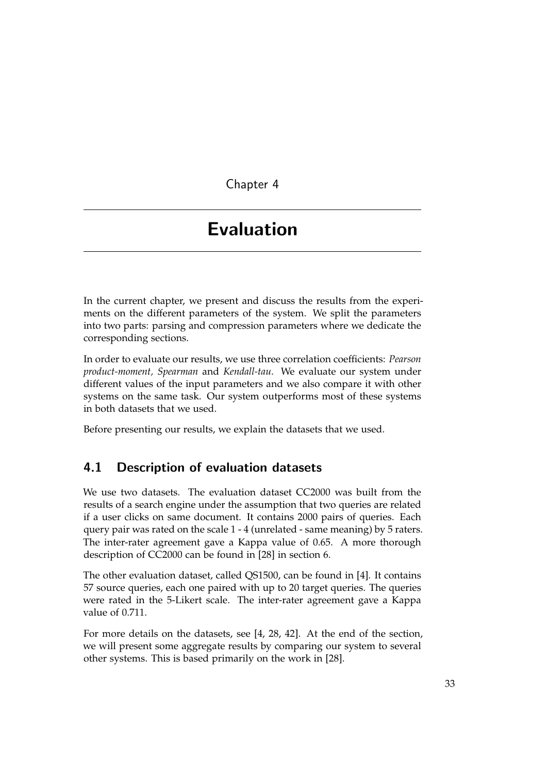<span id="page-38-0"></span>Chapter 4

# Evaluation

In the current chapter, we present and discuss the results from the experiments on the different parameters of the system. We split the parameters into two parts: parsing and compression parameters where we dedicate the corresponding sections.

In order to evaluate our results, we use three correlation coefficients: *Pearson product-moment, Spearman* and *Kendall-tau*. We evaluate our system under different values of the input parameters and we also compare it with other systems on the same task. Our system outperforms most of these systems in both datasets that we used.

Before presenting our results, we explain the datasets that we used.

## <span id="page-38-1"></span>4.1 Description of evaluation datasets

We use two datasets. The evaluation dataset CC2000 was built from the results of a search engine under the assumption that two queries are related if a user clicks on same document. It contains 2000 pairs of queries. Each query pair was rated on the scale 1 - 4 (unrelated - same meaning) by 5 raters. The inter-rater agreement gave a Kappa value of 0.65. A more thorough description of CC2000 can be found in [\[28\]](#page-58-10) in section 6.

The other evaluation dataset, called QS1500, can be found in [\[4\]](#page-56-1). It contains 57 source queries, each one paired with up to 20 target queries. The queries were rated in the 5-Likert scale. The inter-rater agreement gave a Kappa value of 0.711.

For more details on the datasets, see [\[4,](#page-56-1) [28,](#page-58-10) [42\]](#page-59-10). At the end of the section, we will present some aggregate results by comparing our system to several other systems. This is based primarily on the work in [\[28\]](#page-58-10).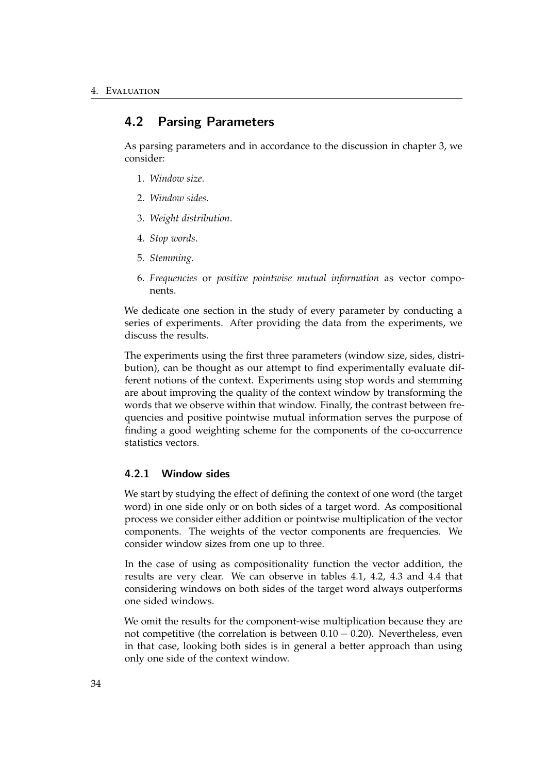## <span id="page-39-0"></span>4.2 Parsing Parameters

As parsing parameters and in accordance to the discussion in chapter [3,](#page-30-0) we consider:

- 1. *Window size*.
- 2. *Window sides*.
- 3. *Weight distribution*.
- 4. *Stop words*.
- 5. *Stemming*.
- 6. *Frequencies* or *positive pointwise mutual information* as vector components.

We dedicate one section in the study of every parameter by conducting a series of experiments. After providing the data from the experiments, we discuss the results.

The experiments using the first three parameters (window size, sides, distribution), can be thought as our attempt to find experimentally evaluate different notions of the context. Experiments using stop words and stemming are about improving the quality of the context window by transforming the words that we observe within that window. Finally, the contrast between frequencies and positive pointwise mutual information serves the purpose of finding a good weighting scheme for the components of the co-occurrence statistics vectors.

## <span id="page-39-1"></span>4.2.1 Window sides

We start by studying the effect of defining the context of one word (the target word) in one side only or on both sides of a target word. As compositional process we consider either addition or pointwise multiplication of the vector components. The weights of the vector components are frequencies. We consider window sizes from one up to three.

In the case of using as compositionality function the vector addition, the results are very clear. We can observe in tables [4.1,](#page-40-1) [4.2,](#page-40-2) [4.3](#page-40-3) and [4.4](#page-41-1) that considering windows on both sides of the target word always outperforms one sided windows.

We omit the results for the component-wise multiplication because they are not competitive (the correlation is between  $0.10 - 0.20$ ). Nevertheless, even in that case, looking both sides is in general a better approach than using only one side of the context window.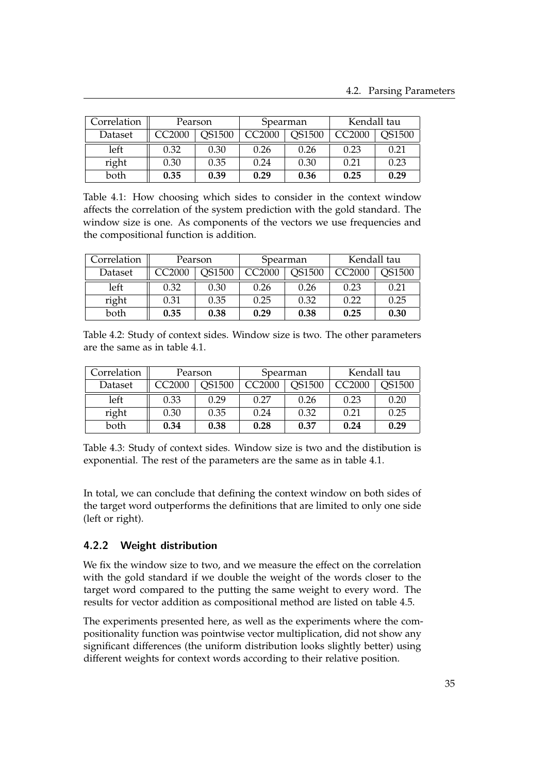<span id="page-40-1"></span>

| Correlation | Pearson                 |      | Spearman           |               | Kendall tau |               |
|-------------|-------------------------|------|--------------------|---------------|-------------|---------------|
| Dataset     | <b>QS1500</b><br>CC2000 |      | CC <sub>2000</sub> | <b>QS1500</b> | CC2000      | <b>OS1500</b> |
| left        | 0.32                    | 0.30 | 0.26               | 0.26          | 0.23        | 0.21          |
| right       | 0.30                    | 0.35 | 0.24               | 0.30          | 0.21        | 0.23          |
| both        | 0.35                    | 0.39 | 0.29               | 0.36          | 0.25        | 0.29          |

Table 4.1: How choosing which sides to consider in the context window affects the correlation of the system prediction with the gold standard. The window size is one. As components of the vectors we use frequencies and the compositional function is addition.

<span id="page-40-2"></span>

| Correlation<br>Pearson |        | Spearman |               | Kendall tau |        |        |
|------------------------|--------|----------|---------------|-------------|--------|--------|
| Dataset                | CC2000 | QS1500   | <b>CC2000</b> | QS1500      | CC2000 | QS1500 |
| left                   | 0.32   | 0.30     | 0.26          | 0.26        | 0.23   | 0.21   |
| right                  | 0.31   | 0.35     | 0.25          | 0.32        | 0.22   | 0.25   |
| both                   | 0.35   | 0.38     | 0.29          | 0.38        | 0.25   | 0.30   |

Table 4.2: Study of context sides. Window size is two. The other parameters are the same as in table [4.1.](#page-40-1)

<span id="page-40-3"></span>

| Correlation<br>Pearson |               |        | Spearman      |               | Kendall tau |               |
|------------------------|---------------|--------|---------------|---------------|-------------|---------------|
| Dataset                | <b>CC2000</b> | QS1500 | <b>CC2000</b> | <b>QS1500</b> | CC2000      | <b>QS1500</b> |
| left                   | 0.33          | 0.29   | 0.27          | 0.26          | 0.23        | 0.20          |
| right                  | 0.30          | 0.35   | 0.24          | 0.32          | 0.21        | 0.25          |
| both                   | 0.34          | 0.38   | 0.28          | 0.37          | 0.24        | 0.29          |

Table 4.3: Study of context sides. Window size is two and the distibution is exponential. The rest of the parameters are the same as in table [4.1.](#page-40-1)

In total, we can conclude that defining the context window on both sides of the target word outperforms the definitions that are limited to only one side (left or right).

## <span id="page-40-0"></span>4.2.2 Weight distribution

We fix the window size to two, and we measure the effect on the correlation with the gold standard if we double the weight of the words closer to the target word compared to the putting the same weight to every word. The results for vector addition as compositional method are listed on table [4.5.](#page-41-2)

The experiments presented here, as well as the experiments where the compositionality function was pointwise vector multiplication, did not show any significant differences (the uniform distribution looks slightly better) using different weights for context words according to their relative position.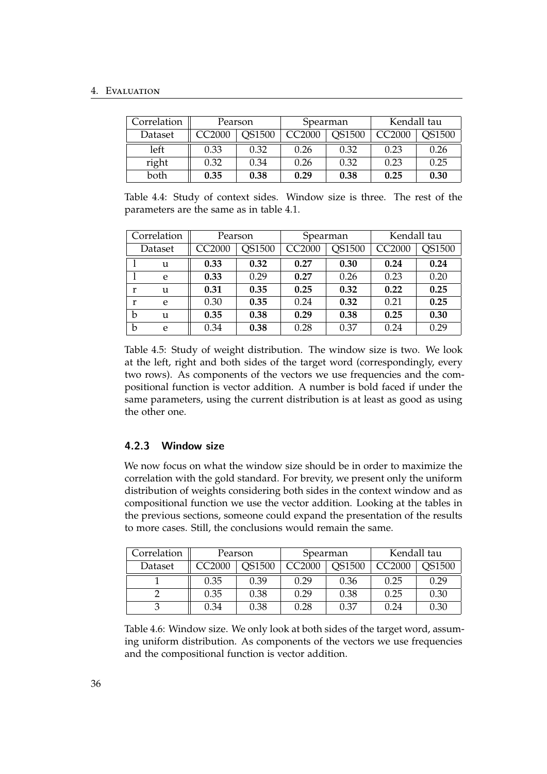## 4. Evaluation

<span id="page-41-1"></span>

| Correlation | Pearson |        | Spearman |               | Kendall tau |               |
|-------------|---------|--------|----------|---------------|-------------|---------------|
| Dataset     | CC2000  | QS1500 | CC2000   | <b>OS1500</b> | CC2000      | <b>OS1500</b> |
| left        | 0.33    | 0.32   | 0.26     | 0.32          | 0.23        | 0.26          |
| right       | 0.32    | 0.34   | 0.26     | 0.32          | 0.23        | 0.25          |
| both        | 0.35    | 0.38   | 0.29     | 0.38          | 0.25        | 0.30          |

Table 4.4: Study of context sides. Window size is three. The rest of the parameters are the same as in table [4.1.](#page-40-1)

<span id="page-41-2"></span>

| Correlation |   | Pearson |        | Spearman      |        | Kendall tau   |        |
|-------------|---|---------|--------|---------------|--------|---------------|--------|
| Dataset     |   | CC2000  | QS1500 | <b>CC2000</b> | QS1500 | <b>CC2000</b> | QS1500 |
|             | u | 0.33    | 0.32   | 0.27          | 0.30   | 0.24          | 0.24   |
|             | e | 0.33    | 0.29   | 0.27          | 0.26   | 0.23          | 0.20   |
| r           | u | 0.31    | 0.35   | 0.25          | 0.32   | 0.22          | 0.25   |
| r           | e | 0.30    | 0.35   | 0.24          | 0.32   | 0.21          | 0.25   |
| b           | u | 0.35    | 0.38   | 0.29          | 0.38   | 0.25          | 0.30   |
| b           | e | 0.34    | 0.38   | 0.28          | 0.37   | 0.24          | 0.29   |

Table 4.5: Study of weight distribution. The window size is two. We look at the left, right and both sides of the target word (correspondingly, every two rows). As components of the vectors we use frequencies and the compositional function is vector addition. A number is bold faced if under the same parameters, using the current distribution is at least as good as using the other one.

## <span id="page-41-0"></span>4.2.3 Window size

We now focus on what the window size should be in order to maximize the correlation with the gold standard. For brevity, we present only the uniform distribution of weights considering both sides in the context window and as compositional function we use the vector addition. Looking at the tables in the previous sections, someone could expand the presentation of the results to more cases. Still, the conclusions would remain the same.

| Correlation | Pearson |               | Spearman      |               | Kendall tau |        |
|-------------|---------|---------------|---------------|---------------|-------------|--------|
| Dataset     | CC2000  | <b>2S1500</b> | <b>CC2000</b> | <b>PS1500</b> | CC2000      | )S1500 |
|             | 0.35    | 0.39          | 0.29          | 0.36          | 0.25        | 0.29   |
|             | 0.35    | 0.38          | 0.29          | 0.38          | 0.25        | 0.30   |
|             | 0.34    | 0.38          | $0.28\,$      | 0.37          | 0.24        | 0.30   |

Table 4.6: Window size. We only look at both sides of the target word, assuming uniform distribution. As components of the vectors we use frequencies and the compositional function is vector addition.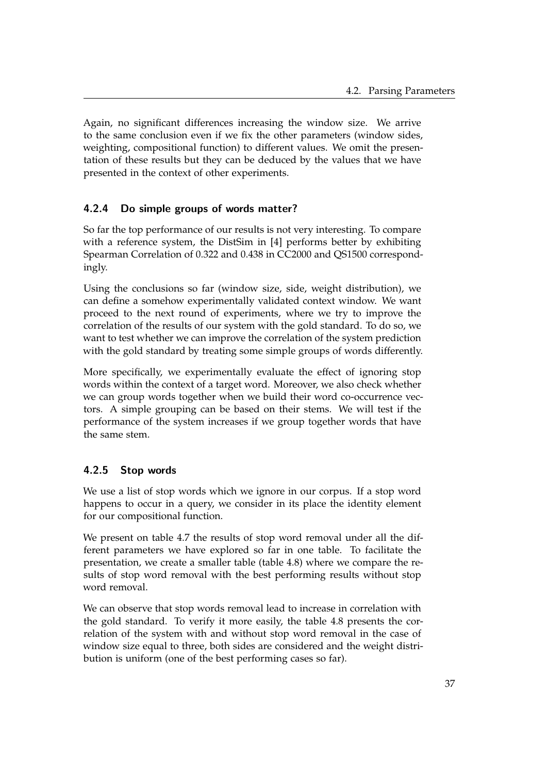Again, no significant differences increasing the window size. We arrive to the same conclusion even if we fix the other parameters (window sides, weighting, compositional function) to different values. We omit the presentation of these results but they can be deduced by the values that we have presented in the context of other experiments.

## <span id="page-42-0"></span>4.2.4 Do simple groups of words matter?

So far the top performance of our results is not very interesting. To compare with a reference system, the DistSim in [\[4\]](#page-56-1) performs better by exhibiting Spearman Correlation of 0.322 and 0.438 in CC2000 and QS1500 correspondingly.

Using the conclusions so far (window size, side, weight distribution), we can define a somehow experimentally validated context window. We want proceed to the next round of experiments, where we try to improve the correlation of the results of our system with the gold standard. To do so, we want to test whether we can improve the correlation of the system prediction with the gold standard by treating some simple groups of words differently.

More specifically, we experimentally evaluate the effect of ignoring stop words within the context of a target word. Moreover, we also check whether we can group words together when we build their word co-occurrence vectors. A simple grouping can be based on their stems. We will test if the performance of the system increases if we group together words that have the same stem.

## <span id="page-42-1"></span>4.2.5 Stop words

We use a list of stop words which we ignore in our corpus. If a stop word happens to occur in a query, we consider in its place the identity element for our compositional function.

We present on table [4.7](#page-43-1) the results of stop word removal under all the different parameters we have explored so far in one table. To facilitate the presentation, we create a smaller table (table [4.8\)](#page-43-2) where we compare the results of stop word removal with the best performing results without stop word removal.

We can observe that stop words removal lead to increase in correlation with the gold standard. To verify it more easily, the table [4.8](#page-43-2) presents the correlation of the system with and without stop word removal in the case of window size equal to three, both sides are considered and the weight distribution is uniform (one of the best performing cases so far).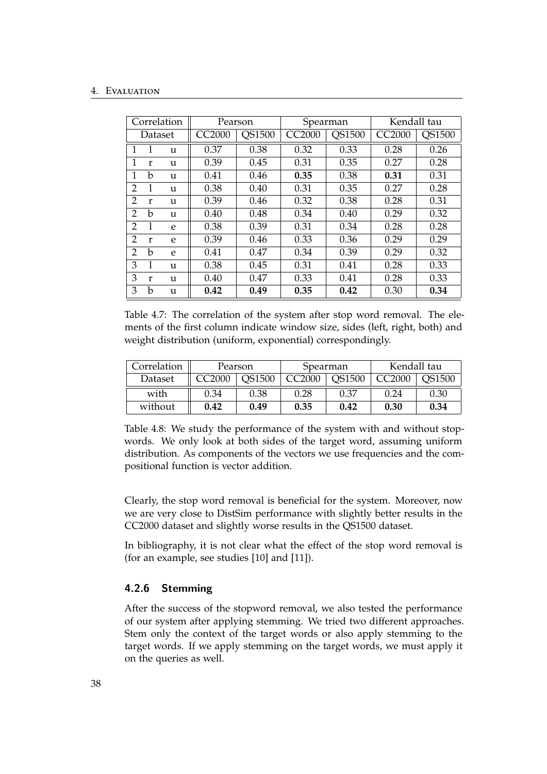#### 4. Evaluation

<span id="page-43-1"></span>

|                | Correlation |   | Pearson            |               | Spearman      |        | Kendall tau   |               |
|----------------|-------------|---|--------------------|---------------|---------------|--------|---------------|---------------|
|                | Dataset     |   | CC <sub>2000</sub> | <b>QS1500</b> | <b>CC2000</b> | QS1500 | <b>CC2000</b> | <b>QS1500</b> |
| 1              |             | u | 0.37               | 0.38          | 0.32          | 0.33   | 0.28          | 0.26          |
| 1              | r           | u | 0.39               | 0.45          | 0.31          | 0.35   | 0.27          | 0.28          |
| 1              | b           | u | 0.41               | 0.46          | 0.35          | 0.38   | 0.31          | 0.31          |
| 2              |             | u | 0.38               | 0.40          | 0.31          | 0.35   | 0.27          | 0.28          |
| 2              | r           | u | 0.39               | 0.46          | 0.32          | 0.38   | 0.28          | 0.31          |
| $\overline{2}$ | h           | u | 0.40               | 0.48          | 0.34          | 0.40   | 0.29          | 0.32          |
| 2              |             | e | 0.38               | 0.39          | 0.31          | 0.34   | 0.28          | 0.28          |
| 2              | r           | e | 0.39               | 0.46          | 0.33          | 0.36   | 0.29          | 0.29          |
| $\overline{2}$ | b           | e | 0.41               | 0.47          | 0.34          | 0.39   | 0.29          | 0.32          |
| 3              |             | u | 0.38               | 0.45          | 0.31          | 0.41   | 0.28          | 0.33          |
| 3              | r           | u | 0.40               | 0.47          | 0.33          | 0.41   | 0.28          | 0.33          |
| 3              | b           | u | 0.42               | 0.49          | 0.35          | 0.42   | 0.30          | 0.34          |

Table 4.7: The correlation of the system after stop word removal. The elements of the first column indicate window size, sides (left, right, both) and weight distribution (uniform, exponential) correspondingly.

<span id="page-43-2"></span>

| Correlation | Pearson |        | Spearman |               | Kendall tau |        |
|-------------|---------|--------|----------|---------------|-------------|--------|
| Dataset     | C2000   | QS1500 | CC2000   | <b>QS1500</b> | CC2000      | OS1500 |
| with        | 0.34    | 0.38   | 0.28     | 0.37          | 0.24        | 0.30   |
| without     | 0.42    | 0.49   | 0.35     | 0.42          | 0.30        | 0.34   |

Table 4.8: We study the performance of the system with and without stopwords. We only look at both sides of the target word, assuming uniform distribution. As components of the vectors we use frequencies and the compositional function is vector addition.

Clearly, the stop word removal is beneficial for the system. Moreover, now we are very close to DistSim performance with slightly better results in the CC2000 dataset and slightly worse results in the QS1500 dataset.

In bibliography, it is not clear what the effect of the stop word removal is (for an example, see studies [\[10\]](#page-57-0) and [\[11\]](#page-57-10)).

## <span id="page-43-0"></span>4.2.6 Stemming

After the success of the stopword removal, we also tested the performance of our system after applying stemming. We tried two different approaches. Stem only the context of the target words or also apply stemming to the target words. If we apply stemming on the target words, we must apply it on the queries as well.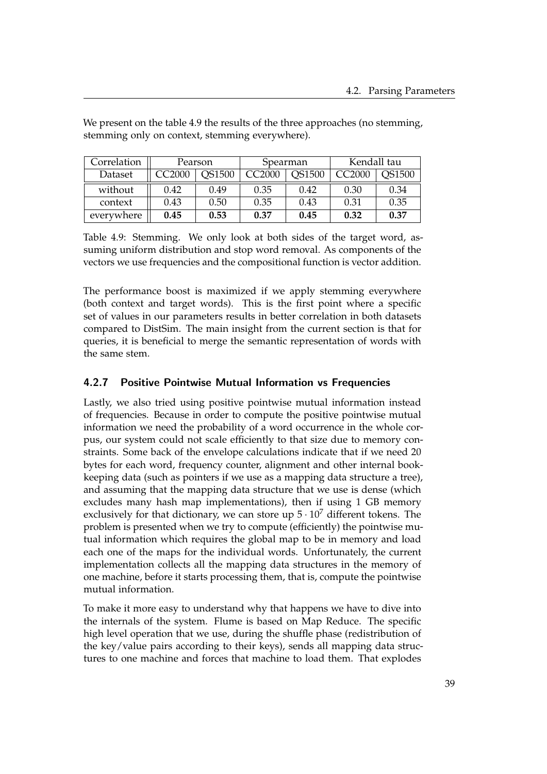<span id="page-44-1"></span>

| Correlation | Pearson |               | Spearman |               | Kendall tau        |               |
|-------------|---------|---------------|----------|---------------|--------------------|---------------|
| Dataset     | CC2000  | <b>QS1500</b> | CC2000   | <b>QS1500</b> | CC <sub>2000</sub> | <b>QS1500</b> |
| without     | 0.42    | 0.49          | 0.35     | 0.42          | 0.30               | 0.34          |
| context     | 0.43    | 0.50          | 0.35     | 0.43          | 0.31               | 0.35          |
| everywhere  | 0.45    | 0.53          | 0.37     | 0.45          | 0.32               | 0.37          |

We present on the table [4.9](#page-44-1) the results of the three approaches (no stemming, stemming only on context, stemming everywhere).

Table 4.9: Stemming. We only look at both sides of the target word, assuming uniform distribution and stop word removal. As components of the vectors we use frequencies and the compositional function is vector addition.

The performance boost is maximized if we apply stemming everywhere (both context and target words). This is the first point where a specific set of values in our parameters results in better correlation in both datasets compared to DistSim. The main insight from the current section is that for queries, it is beneficial to merge the semantic representation of words with the same stem.

## <span id="page-44-0"></span>4.2.7 Positive Pointwise Mutual Information vs Frequencies

Lastly, we also tried using positive pointwise mutual information instead of frequencies. Because in order to compute the positive pointwise mutual information we need the probability of a word occurrence in the whole corpus, our system could not scale efficiently to that size due to memory constraints. Some back of the envelope calculations indicate that if we need 20 bytes for each word, frequency counter, alignment and other internal bookkeeping data (such as pointers if we use as a mapping data structure a tree), and assuming that the mapping data structure that we use is dense (which excludes many hash map implementations), then if using 1 GB memory exclusively for that dictionary, we can store up  $5 \cdot 10^7$  different tokens. The problem is presented when we try to compute (efficiently) the pointwise mutual information which requires the global map to be in memory and load each one of the maps for the individual words. Unfortunately, the current implementation collects all the mapping data structures in the memory of one machine, before it starts processing them, that is, compute the pointwise mutual information.

To make it more easy to understand why that happens we have to dive into the internals of the system. Flume is based on Map Reduce. The specific high level operation that we use, during the shuffle phase (redistribution of the key/value pairs according to their keys), sends all mapping data structures to one machine and forces that machine to load them. That explodes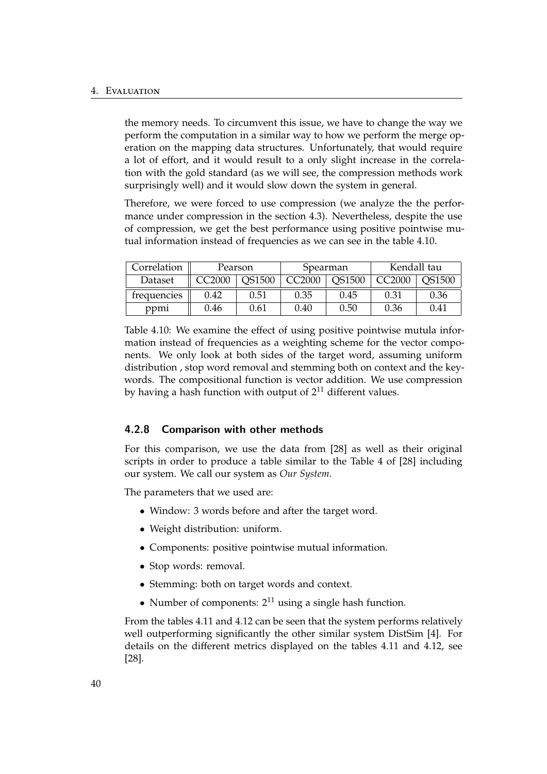the memory needs. To circumvent this issue, we have to change the way we perform the computation in a similar way to how we perform the merge operation on the mapping data structures. Unfortunately, that would require a lot of effort, and it would result to a only slight increase in the correlation with the gold standard (as we will see, the compression methods work surprisingly well) and it would slow down the system in general.

Therefore, we were forced to use compression (we analyze the the performance under compression in the section [4.3\)](#page-46-0). Nevertheless, despite the use of compression, we get the best performance using positive pointwise mutual information instead of frequencies as we can see in the table [4.10.](#page-45-1)

<span id="page-45-1"></span>

| Correlation | Pearson |                 |      | Spearman      | Kendall tau |        |  |
|-------------|---------|-----------------|------|---------------|-------------|--------|--|
| Dataset     | C2000   | C2000<br>OS1500 |      | <b>QS1500</b> | C2000:      | OS1500 |  |
| trequencies | 0.42    | 0.51            | 0.35 | 0.45          | 0.31        | 0.36   |  |
| ppm         | 0.46    | 0.61            | 0.40 | 0.50          | 0.36        | 0.41   |  |

Table 4.10: We examine the effect of using positive pointwise mutula information instead of frequencies as a weighting scheme for the vector components. We only look at both sides of the target word, assuming uniform distribution , stop word removal and stemming both on context and the keywords. The compositional function is vector addition. We use compression by having a hash function with output of  $2^{11}$  different values.

## <span id="page-45-0"></span>4.2.8 Comparison with other methods

For this comparison, we use the data from [\[28\]](#page-58-10) as well as their original scripts in order to produce a table similar to the Table 4 of [\[28\]](#page-58-10) including our system. We call our system as *Our System*.

The parameters that we used are:

- Window: 3 words before and after the target word.
- Weight distribution: uniform.
- Components: positive pointwise mutual information.
- Stop words: removal.
- Stemming: both on target words and context.
- Number of components:  $2^{11}$  using a single hash function.

From the tables [4.11](#page-46-1) and [4.12](#page-47-0) can be seen that the system performs relatively well outperforming significantly the other similar system DistSim [\[4\]](#page-56-1). For details on the different metrics displayed on the tables [4.11](#page-46-1) and [4.12,](#page-47-0) see [\[28\]](#page-58-10).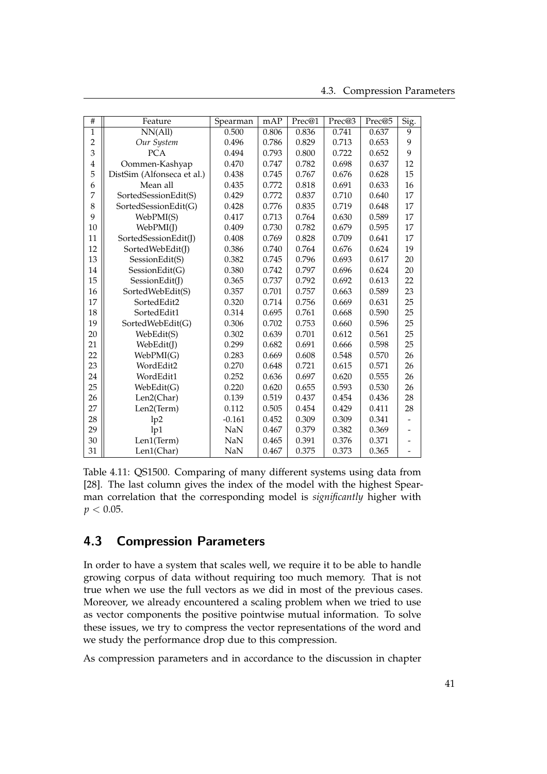<span id="page-46-1"></span>

| #              | Feature                    | Spearman   | mAP   | Prec@1 | Prec@3 | Prec@5 | Sig. |
|----------------|----------------------------|------------|-------|--------|--------|--------|------|
| $\mathbf{1}$   | NN(All)                    | 0.500      | 0.806 | 0.836  | 0.741  | 0.637  | 9    |
| $\overline{2}$ | Our System                 | 0.496      | 0.786 | 0.829  | 0.713  | 0.653  | 9    |
| 3              | <b>PCA</b>                 | 0.494      | 0.793 | 0.800  | 0.722  | 0.652  | 9    |
| 4              | Oommen-Kashyap             | 0.470      | 0.747 | 0.782  | 0.698  | 0.637  | 12   |
| 5              | DistSim (Alfonseca et al.) | 0.438      | 0.745 | 0.767  | 0.676  | 0.628  | 15   |
| 6              | Mean all                   | 0.435      | 0.772 | 0.818  | 0.691  | 0.633  | 16   |
| $\overline{7}$ | SortedSessionEdit(S)       | 0.429      | 0.772 | 0.837  | 0.710  | 0.640  | 17   |
| 8              | SortedSessionEdit(G)       | 0.428      | 0.776 | 0.835  | 0.719  | 0.648  | 17   |
| 9              | WebPMI(S)                  | 0.417      | 0.713 | 0.764  | 0.630  | 0.589  | 17   |
| 10             | WebPMI(J)                  | 0.409      | 0.730 | 0.782  | 0.679  | 0.595  | 17   |
| 11             | SortedSessionEdit(J)       | 0.408      | 0.769 | 0.828  | 0.709  | 0.641  | 17   |
| 12             | SortedWebEdit(J)           | 0.386      | 0.740 | 0.764  | 0.676  | 0.624  | 19   |
| 13             | SessionEdit(S)             | 0.382      | 0.745 | 0.796  | 0.693  | 0.617  | 20   |
| 14             | SessionEdit(G)             | 0.380      | 0.742 | 0.797  | 0.696  | 0.624  | 20   |
| 15             | SessionEdit(J)             | 0.365      | 0.737 | 0.792  | 0.692  | 0.613  | 22   |
| 16             | SortedWebEdit(S)           | 0.357      | 0.701 | 0.757  | 0.663  | 0.589  | 23   |
| 17             | SortedEdit2                | 0.320      | 0.714 | 0.756  | 0.669  | 0.631  | 25   |
| 18             | SortedEdit1                | 0.314      | 0.695 | 0.761  | 0.668  | 0.590  | 25   |
| 19             | SortedWebEdit(G)           | 0.306      | 0.702 | 0.753  | 0.660  | 0.596  | 25   |
| 20             | WebEdit(S)                 | 0.302      | 0.639 | 0.701  | 0.612  | 0.561  | 25   |
| 21             | WebEdit(J)                 | 0.299      | 0.682 | 0.691  | 0.666  | 0.598  | 25   |
| 22             | WebPMI(G)                  | 0.283      | 0.669 | 0.608  | 0.548  | 0.570  | 26   |
| 23             | WordEdit2                  | 0.270      | 0.648 | 0.721  | 0.615  | 0.571  | 26   |
| 24             | WordEdit1                  | 0.252      | 0.636 | 0.697  | 0.620  | 0.555  | 26   |
| 25             | WebEdit(G)                 | 0.220      | 0.620 | 0.655  | 0.593  | 0.530  | 26   |
| 26             | Len2(Char)                 | 0.139      | 0.519 | 0.437  | 0.454  | 0.436  | 28   |
| 27             | Len2(Term)                 | 0.112      | 0.505 | 0.454  | 0.429  | 0.411  | 28   |
| 28             | 1p2                        | $-0.161$   | 0.452 | 0.309  | 0.309  | 0.341  |      |
| 29             | 1p1                        | <b>NaN</b> | 0.467 | 0.379  | 0.382  | 0.369  |      |
| 30             | Len1(Term)                 | <b>NaN</b> | 0.465 | 0.391  | 0.376  | 0.371  |      |
| 31             | Len1(Char)                 | NaN        | 0.467 | 0.375  | 0.373  | 0.365  |      |

Table 4.11: QS1500. Comparing of many different systems using data from [\[28\]](#page-58-10). The last column gives the index of the model with the highest Spearman correlation that the corresponding model is *significantly* higher with  $p < 0.05$ .

## <span id="page-46-0"></span>4.3 Compression Parameters

In order to have a system that scales well, we require it to be able to handle growing corpus of data without requiring too much memory. That is not true when we use the full vectors as we did in most of the previous cases. Moreover, we already encountered a scaling problem when we tried to use as vector components the positive pointwise mutual information. To solve these issues, we try to compress the vector representations of the word and we study the performance drop due to this compression.

As compression parameters and in accordance to the discussion in chapter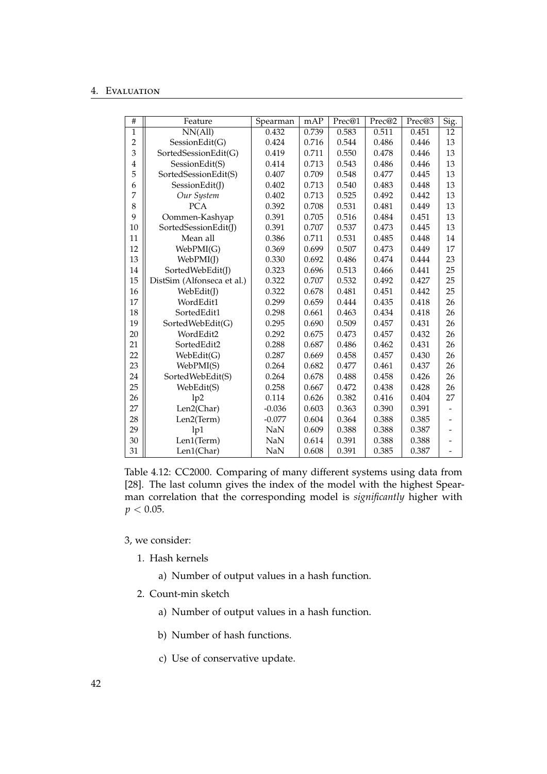#### 4. Evaluation

<span id="page-47-0"></span>

| #              | Feature                    | Spearman   | mAP   | Prec@1 | Prec@2 | Prec@3 | Sig.                     |
|----------------|----------------------------|------------|-------|--------|--------|--------|--------------------------|
| 1              | NN(All)                    | 0.432      | 0.739 | 0.583  | 0.511  | 0.451  | 12                       |
| $\overline{2}$ | SessionEdit(G)             | 0.424      | 0.716 | 0.544  | 0.486  | 0.446  | 13                       |
| 3              | SortedSessionEdit(G)       | 0.419      | 0.711 | 0.550  | 0.478  | 0.446  | 13                       |
| $\overline{4}$ | SessionEdit(S)             | 0.414      | 0.713 | 0.543  | 0.486  | 0.446  | 13                       |
| 5              | SortedSessionEdit(S)       | 0.407      | 0.709 | 0.548  | 0.477  | 0.445  | 13                       |
| 6              | SessionEdit(J)             | 0.402      | 0.713 | 0.540  | 0.483  | 0.448  | 13                       |
| 7              | Our System                 | 0.402      | 0.713 | 0.525  | 0.492  | 0.442  | 13                       |
| 8              | <b>PCA</b>                 | 0.392      | 0.708 | 0.531  | 0.481  | 0.449  | 13                       |
| 9              | Oommen-Kashyap             | 0.391      | 0.705 | 0.516  | 0.484  | 0.451  | 13                       |
| 10             | SortedSessionEdit(J)       | 0.391      | 0.707 | 0.537  | 0.473  | 0.445  | 13                       |
| 11             | Mean all                   | 0.386      | 0.711 | 0.531  | 0.485  | 0.448  | 14                       |
| 12             | WebPMI(G)                  | 0.369      | 0.699 | 0.507  | 0.473  | 0.449  | 17                       |
| 13             | WebPMI(J)                  | 0.330      | 0.692 | 0.486  | 0.474  | 0.444  | 23                       |
| 14             | SortedWebEdit(J)           | 0.323      | 0.696 | 0.513  | 0.466  | 0.441  | 25                       |
| 15             | DistSim (Alfonseca et al.) | 0.322      | 0.707 | 0.532  | 0.492  | 0.427  | 25                       |
| 16             | WebEdit(J)                 | 0.322      | 0.678 | 0.481  | 0.451  | 0.442  | 25                       |
| 17             | WordEdit1                  | 0.299      | 0.659 | 0.444  | 0.435  | 0.418  | 26                       |
| 18             | SortedEdit1                | 0.298      | 0.661 | 0.463  | 0.434  | 0.418  | 26                       |
| 19             | SortedWebEdit(G)           | 0.295      | 0.690 | 0.509  | 0.457  | 0.431  | 26                       |
| 20             | WordEdit2                  | 0.292      | 0.675 | 0.473  | 0.457  | 0.432  | 26                       |
| 21             | SortedEdit2                | 0.288      | 0.687 | 0.486  | 0.462  | 0.431  | 26                       |
| 22             | WebEdit(G)                 | 0.287      | 0.669 | 0.458  | 0.457  | 0.430  | 26                       |
| 23             | WebPMI(S)                  | 0.264      | 0.682 | 0.477  | 0.461  | 0.437  | 26                       |
| 24             | SortedWebEdit(S)           | 0.264      | 0.678 | 0.488  | 0.458  | 0.426  | 26                       |
| 25             | WebEdit(S)                 | 0.258      | 0.667 | 0.472  | 0.438  | 0.428  | 26                       |
| 26             | 1p2                        | 0.114      | 0.626 | 0.382  | 0.416  | 0.404  | 27                       |
| 27             | Len2(Char)                 | $-0.036$   | 0.603 | 0.363  | 0.390  | 0.391  |                          |
| 28             | Len2(Term)                 | $-0.077$   | 0.604 | 0.364  | 0.388  | 0.385  |                          |
| 29             | 1p1                        | <b>NaN</b> | 0.609 | 0.388  | 0.388  | 0.387  | $\overline{\phantom{0}}$ |
| 30             | Len1(Term)                 | NaN        | 0.614 | 0.391  | 0.388  | 0.388  |                          |
| 31             | Len1(Char)                 | NaN        | 0.608 | 0.391  | 0.385  | 0.387  | $\qquad \qquad -$        |

Table 4.12: CC2000. Comparing of many different systems using data from [\[28\]](#page-58-10). The last column gives the index of the model with the highest Spearman correlation that the corresponding model is *significantly* higher with  $p < 0.05$ .

[3,](#page-30-0) we consider:

- 1. Hash kernels
	- a) Number of output values in a hash function.
- 2. Count-min sketch
	- a) Number of output values in a hash function.
	- b) Number of hash functions.
	- c) Use of conservative update.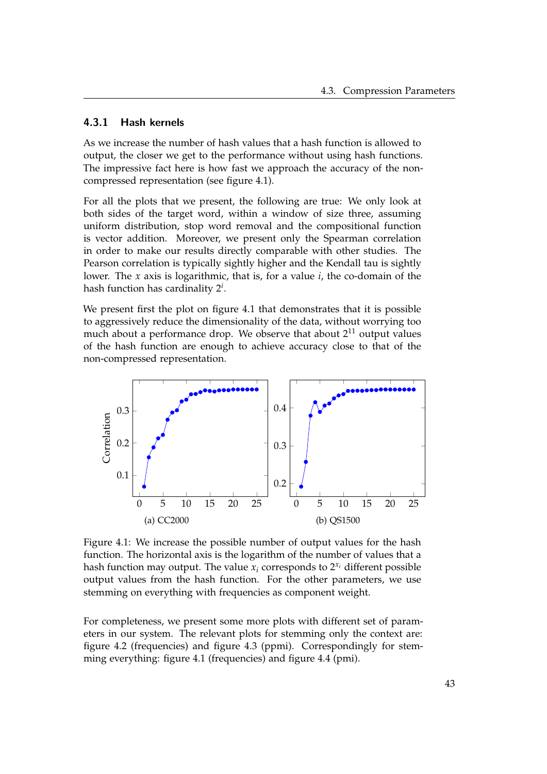## <span id="page-48-0"></span>4.3.1 Hash kernels

As we increase the number of hash values that a hash function is allowed to output, the closer we get to the performance without using hash functions. The impressive fact here is how fast we approach the accuracy of the noncompressed representation (see figure [4.1\)](#page-48-1).

For all the plots that we present, the following are true: We only look at both sides of the target word, within a window of size three, assuming uniform distribution, stop word removal and the compositional function is vector addition. Moreover, we present only the Spearman correlation in order to make our results directly comparable with other studies. The Pearson correlation is typically sightly higher and the Kendall tau is sightly lower. The *x* axis is logarithmic, that is, for a value *i*, the co-domain of the hash function has cardinality 2*<sup>i</sup>* .

We present first the plot on figure [4.1](#page-48-1) that demonstrates that it is possible to aggressively reduce the dimensionality of the data, without worrying too much about a performance drop. We observe that about  $2^{11}$  output values of the hash function are enough to achieve accuracy close to that of the non-compressed representation.

<span id="page-48-1"></span>

Figure 4.1: We increase the possible number of output values for the hash function. The horizontal axis is the logarithm of the number of values that a hash function may output. The value  $x_i$  corresponds to  $2^{x_i}$  different possible output values from the hash function. For the other parameters, we use stemming on everything with frequencies as component weight.

For completeness, we present some more plots with different set of parameters in our system. The relevant plots for stemming only the context are: figure [4.2](#page-49-1) (frequencies) and figure [4.3](#page-49-2) (ppmi). Correspondingly for stemming everything: figure [4.1](#page-48-1) (frequencies) and figure [4.4](#page-50-0) (pmi).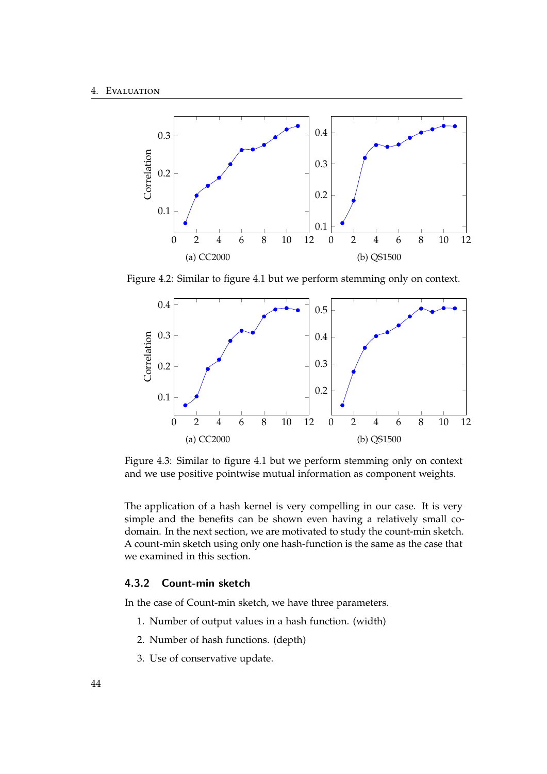<span id="page-49-1"></span>

Figure 4.2: Similar to figure [4.1](#page-48-1) but we perform stemming only on context.

<span id="page-49-2"></span>

Figure 4.3: Similar to figure [4.1](#page-48-1) but we perform stemming only on context and we use positive pointwise mutual information as component weights.

The application of a hash kernel is very compelling in our case. It is very simple and the benefits can be shown even having a relatively small codomain. In the next section, we are motivated to study the count-min sketch. A count-min sketch using only one hash-function is the same as the case that we examined in this section.

## <span id="page-49-0"></span>4.3.2 Count-min sketch

In the case of Count-min sketch, we have three parameters.

- 1. Number of output values in a hash function. (width)
- 2. Number of hash functions. (depth)
- 3. Use of conservative update.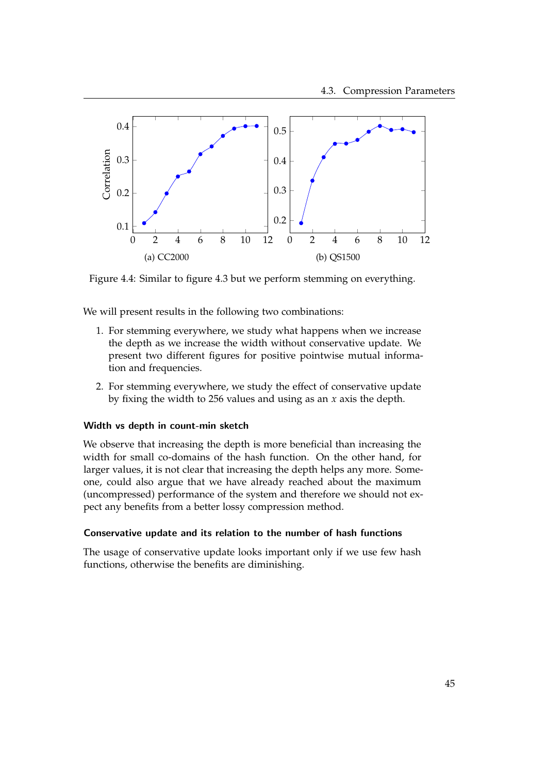<span id="page-50-0"></span>

Figure 4.4: Similar to figure [4.3](#page-49-2) but we perform stemming on everything.

We will present results in the following two combinations:

- 1. For stemming everywhere, we study what happens when we increase the depth as we increase the width without conservative update. We present two different figures for positive pointwise mutual information and frequencies.
- 2. For stemming everywhere, we study the effect of conservative update by fixing the width to 256 values and using as an *x* axis the depth.

#### Width vs depth in count-min sketch

We observe that increasing the depth is more beneficial than increasing the width for small co-domains of the hash function. On the other hand, for larger values, it is not clear that increasing the depth helps any more. Someone, could also argue that we have already reached about the maximum (uncompressed) performance of the system and therefore we should not expect any benefits from a better lossy compression method.

### Conservative update and its relation to the number of hash functions

The usage of conservative update looks important only if we use few hash functions, otherwise the benefits are diminishing.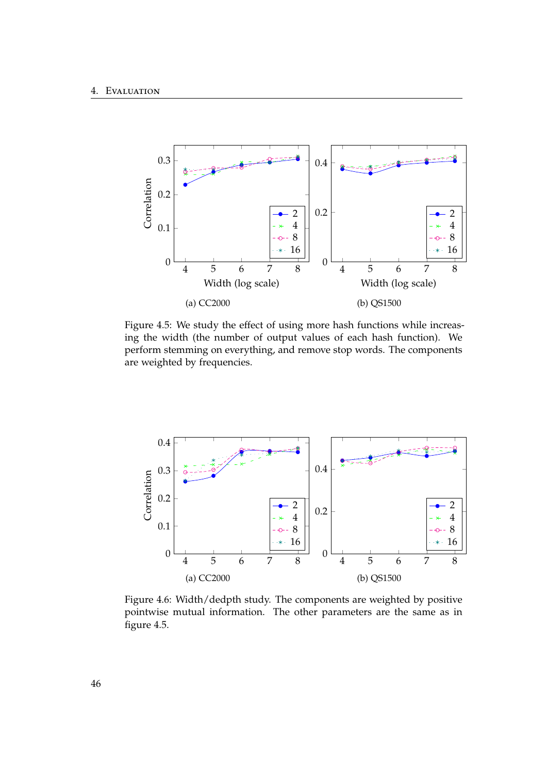<span id="page-51-0"></span>

Figure 4.5: We study the effect of using more hash functions while increasing the width (the number of output values of each hash function). We perform stemming on everything, and remove stop words. The components are weighted by frequencies.



Figure 4.6: Width/dedpth study. The components are weighted by positive pointwise mutual information. The other parameters are the same as in figure [4.5.](#page-51-0)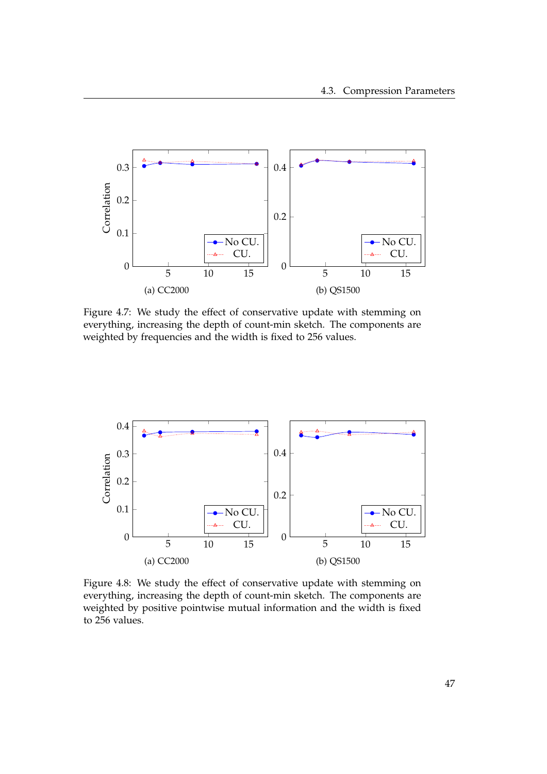

Figure 4.7: We study the effect of conservative update with stemming on everything, increasing the depth of count-min sketch. The components are weighted by frequencies and the width is fixed to 256 values.



Figure 4.8: We study the effect of conservative update with stemming on everything, increasing the depth of count-min sketch. The components are weighted by positive pointwise mutual information and the width is fixed to 256 values.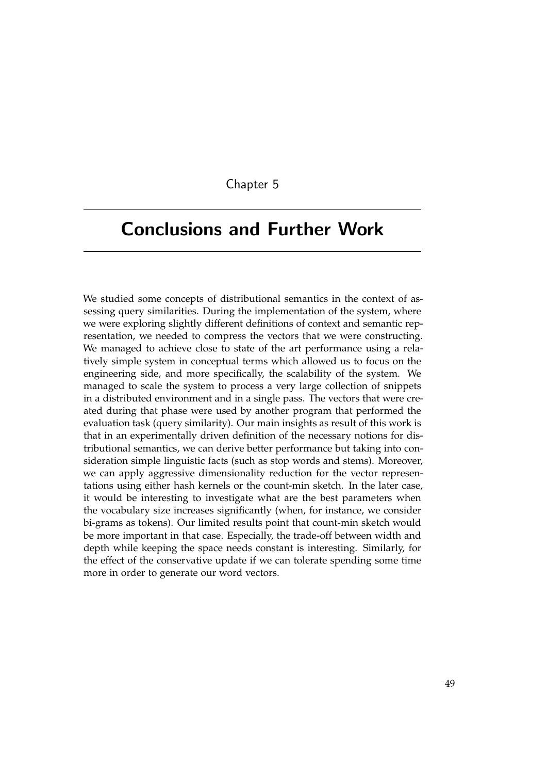## Chapter 5

# <span id="page-54-0"></span>Conclusions and Further Work

We studied some concepts of distributional semantics in the context of assessing query similarities. During the implementation of the system, where we were exploring slightly different definitions of context and semantic representation, we needed to compress the vectors that we were constructing. We managed to achieve close to state of the art performance using a relatively simple system in conceptual terms which allowed us to focus on the engineering side, and more specifically, the scalability of the system. We managed to scale the system to process a very large collection of snippets in a distributed environment and in a single pass. The vectors that were created during that phase were used by another program that performed the evaluation task (query similarity). Our main insights as result of this work is that in an experimentally driven definition of the necessary notions for distributional semantics, we can derive better performance but taking into consideration simple linguistic facts (such as stop words and stems). Moreover, we can apply aggressive dimensionality reduction for the vector representations using either hash kernels or the count-min sketch. In the later case, it would be interesting to investigate what are the best parameters when the vocabulary size increases significantly (when, for instance, we consider bi-grams as tokens). Our limited results point that count-min sketch would be more important in that case. Especially, the trade-off between width and depth while keeping the space needs constant is interesting. Similarly, for the effect of the conservative update if we can tolerate spending some time more in order to generate our word vectors.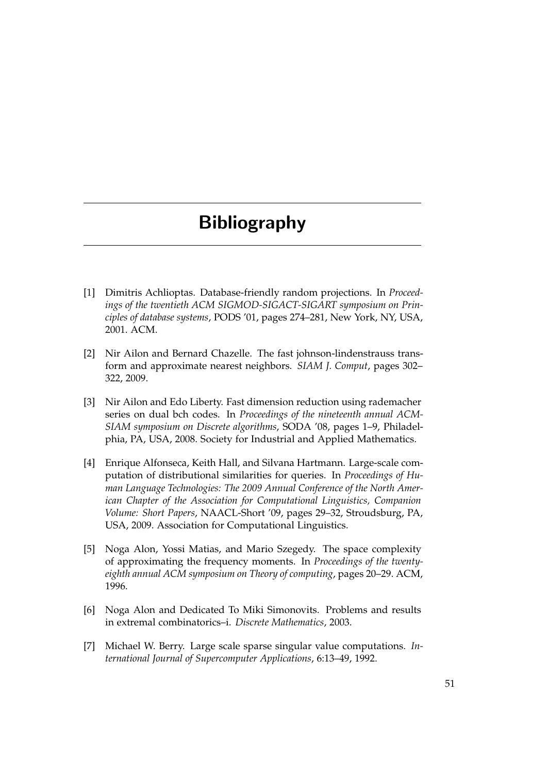# Bibliography

- <span id="page-56-0"></span>[1] Dimitris Achlioptas. Database-friendly random projections. In *Proceedings of the twentieth ACM SIGMOD-SIGACT-SIGART symposium on Principles of database systems*, PODS '01, pages 274–281, New York, NY, USA, 2001. ACM.
- <span id="page-56-4"></span>[2] Nir Ailon and Bernard Chazelle. The fast johnson-lindenstrauss transform and approximate nearest neighbors. *SIAM J. Comput*, pages 302– 322, 2009.
- <span id="page-56-5"></span>[3] Nir Ailon and Edo Liberty. Fast dimension reduction using rademacher series on dual bch codes. In *Proceedings of the nineteenth annual ACM-SIAM symposium on Discrete algorithms*, SODA '08, pages 1–9, Philadelphia, PA, USA, 2008. Society for Industrial and Applied Mathematics.
- <span id="page-56-1"></span>[4] Enrique Alfonseca, Keith Hall, and Silvana Hartmann. Large-scale computation of distributional similarities for queries. In *Proceedings of Human Language Technologies: The 2009 Annual Conference of the North American Chapter of the Association for Computational Linguistics, Companion Volume: Short Papers*, NAACL-Short '09, pages 29–32, Stroudsburg, PA, USA, 2009. Association for Computational Linguistics.
- <span id="page-56-6"></span>[5] Noga Alon, Yossi Matias, and Mario Szegedy. The space complexity of approximating the frequency moments. In *Proceedings of the twentyeighth annual ACM symposium on Theory of computing*, pages 20–29. ACM, 1996.
- <span id="page-56-3"></span>[6] Noga Alon and Dedicated To Miki Simonovits. Problems and results in extremal combinatorics–i. *Discrete Mathematics*, 2003.
- <span id="page-56-2"></span>[7] Michael W. Berry. Large scale sparse singular value computations. *International Journal of Supercomputer Applications*, 6:13–49, 1992.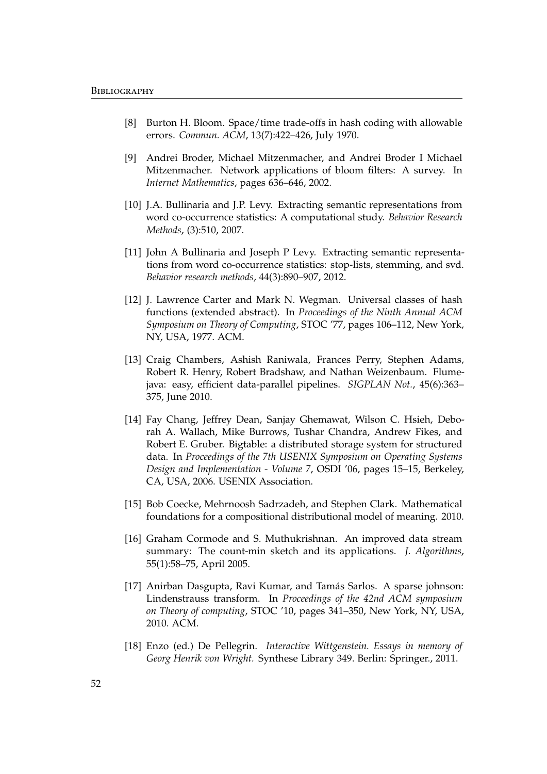- <span id="page-57-3"></span>[8] Burton H. Bloom. Space/time trade-offs in hash coding with allowable errors. *Commun. ACM*, 13(7):422–426, July 1970.
- <span id="page-57-4"></span>[9] Andrei Broder, Michael Mitzenmacher, and Andrei Broder I Michael Mitzenmacher. Network applications of bloom filters: A survey. In *Internet Mathematics*, pages 636–646, 2002.
- <span id="page-57-0"></span>[10] J.A. Bullinaria and J.P. Levy. Extracting semantic representations from word co-occurrence statistics: A computational study. *Behavior Research Methods*, (3):510, 2007.
- <span id="page-57-10"></span>[11] John A Bullinaria and Joseph P Levy. Extracting semantic representations from word co-occurrence statistics: stop-lists, stemming, and svd. *Behavior research methods*, 44(3):890–907, 2012.
- <span id="page-57-5"></span>[12] J. Lawrence Carter and Mark N. Wegman. Universal classes of hash functions (extended abstract). In *Proceedings of the Ninth Annual ACM Symposium on Theory of Computing*, STOC '77, pages 106–112, New York, NY, USA, 1977. ACM.
- <span id="page-57-9"></span>[13] Craig Chambers, Ashish Raniwala, Frances Perry, Stephen Adams, Robert R. Henry, Robert Bradshaw, and Nathan Weizenbaum. Flumejava: easy, efficient data-parallel pipelines. *SIGPLAN Not.*, 45(6):363– 375, June 2010.
- <span id="page-57-8"></span>[14] Fay Chang, Jeffrey Dean, Sanjay Ghemawat, Wilson C. Hsieh, Deborah A. Wallach, Mike Burrows, Tushar Chandra, Andrew Fikes, and Robert E. Gruber. Bigtable: a distributed storage system for structured data. In *Proceedings of the 7th USENIX Symposium on Operating Systems Design and Implementation - Volume 7*, OSDI '06, pages 15–15, Berkeley, CA, USA, 2006. USENIX Association.
- <span id="page-57-6"></span>[15] Bob Coecke, Mehrnoosh Sadrzadeh, and Stephen Clark. Mathematical foundations for a compositional distributional model of meaning. 2010.
- <span id="page-57-2"></span>[16] Graham Cormode and S. Muthukrishnan. An improved data stream summary: The count-min sketch and its applications. *J. Algorithms*, 55(1):58–75, April 2005.
- <span id="page-57-1"></span>[17] Anirban Dasgupta, Ravi Kumar, and Tamás Sarlos. A sparse johnson: Lindenstrauss transform. In *Proceedings of the 42nd ACM symposium on Theory of computing*, STOC '10, pages 341–350, New York, NY, USA, 2010. ACM.
- <span id="page-57-7"></span>[18] Enzo (ed.) De Pellegrin. *Interactive Wittgenstein. Essays in memory of Georg Henrik von Wright.* Synthese Library 349. Berlin: Springer., 2011.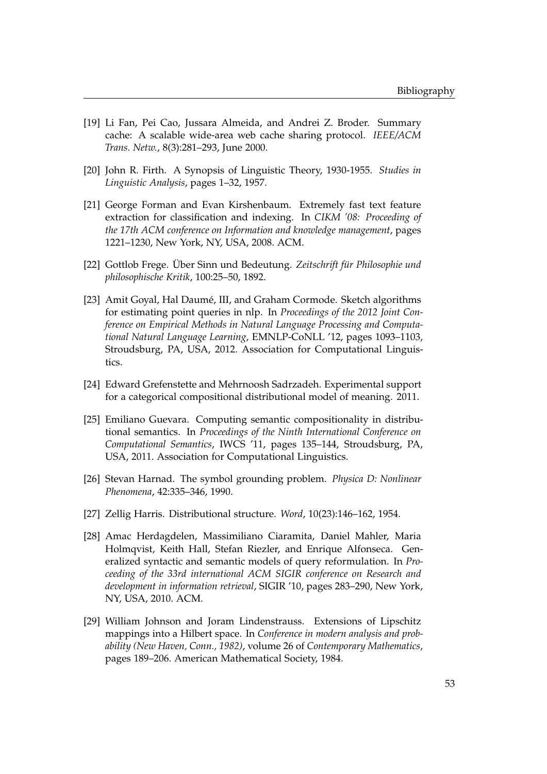- <span id="page-58-6"></span>[19] Li Fan, Pei Cao, Jussara Almeida, and Andrei Z. Broder. Summary cache: A scalable wide-area web cache sharing protocol. *IEEE/ACM Trans. Netw.*, 8(3):281–293, June 2000.
- <span id="page-58-2"></span>[20] John R. Firth. A Synopsis of Linguistic Theory, 1930-1955. *Studies in Linguistic Analysis*, pages 1–32, 1957.
- <span id="page-58-5"></span>[21] George Forman and Evan Kirshenbaum. Extremely fast text feature extraction for classification and indexing. In *CIKM '08: Proceeding of the 17th ACM conference on Information and knowledge management*, pages 1221–1230, New York, NY, USA, 2008. ACM.
- <span id="page-58-1"></span>[22] Gottlob Frege. Über Sinn und Bedeutung. Zeitschrift für Philosophie und *philosophische Kritik*, 100:25–50, 1892.
- <span id="page-58-7"></span>[23] Amit Goyal, Hal Daumé, III, and Graham Cormode. Sketch algorithms for estimating point queries in nlp. In *Proceedings of the 2012 Joint Conference on Empirical Methods in Natural Language Processing and Computational Natural Language Learning*, EMNLP-CoNLL '12, pages 1093–1103, Stroudsburg, PA, USA, 2012. Association for Computational Linguistics.
- <span id="page-58-9"></span>[24] Edward Grefenstette and Mehrnoosh Sadrzadeh. Experimental support for a categorical compositional distributional model of meaning. 2011.
- <span id="page-58-8"></span>[25] Emiliano Guevara. Computing semantic compositionality in distributional semantics. In *Proceedings of the Ninth International Conference on Computational Semantics*, IWCS '11, pages 135–144, Stroudsburg, PA, USA, 2011. Association for Computational Linguistics.
- <span id="page-58-3"></span>[26] Stevan Harnad. The symbol grounding problem. *Physica D: Nonlinear Phenomena*, 42:335–346, 1990.
- <span id="page-58-0"></span>[27] Zellig Harris. Distributional structure. *Word*, 10(23):146–162, 1954.
- <span id="page-58-10"></span>[28] Amac Herdagdelen, Massimiliano Ciaramita, Daniel Mahler, Maria Holmqvist, Keith Hall, Stefan Riezler, and Enrique Alfonseca. Generalized syntactic and semantic models of query reformulation. In *Proceeding of the 33rd international ACM SIGIR conference on Research and development in information retrieval*, SIGIR '10, pages 283–290, New York, NY, USA, 2010. ACM.
- <span id="page-58-4"></span>[29] William Johnson and Joram Lindenstrauss. Extensions of Lipschitz mappings into a Hilbert space. In *Conference in modern analysis and probability (New Haven, Conn., 1982)*, volume 26 of *Contemporary Mathematics*, pages 189–206. American Mathematical Society, 1984.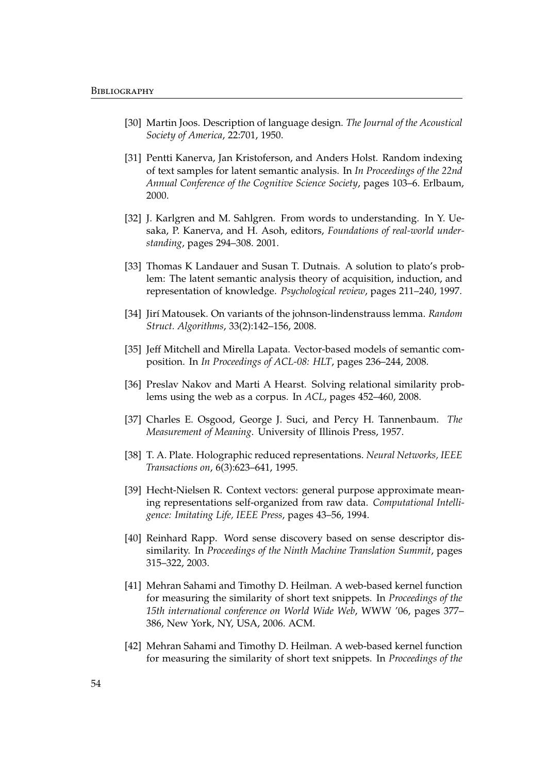- <span id="page-59-0"></span>[30] Martin Joos. Description of language design. *The Journal of the Acoustical Society of America*, 22:701, 1950.
- <span id="page-59-7"></span>[31] Pentti Kanerva, Jan Kristoferson, and Anders Holst. Random indexing of text samples for latent semantic analysis. In *In Proceedings of the 22nd Annual Conference of the Cognitive Science Society*, pages 103–6. Erlbaum, 2000.
- <span id="page-59-8"></span>[32] J. Karlgren and M. Sahlgren. From words to understanding. In Y. Uesaka, P. Kanerva, and H. Asoh, editors, *Foundations of real-world understanding*, pages 294–308. 2001.
- <span id="page-59-5"></span>[33] Thomas K Landauer and Susan T. Dutnais. A solution to plato's problem: The latent semantic analysis theory of acquisition, induction, and representation of knowledge. *Psychological review*, pages 211–240, 1997.
- <span id="page-59-9"></span>[34] Jir´ı Matousek. On variants of the johnson-lindenstrauss lemma. *Random Struct. Algorithms*, 33(2):142–156, 2008.
- <span id="page-59-11"></span>[35] Jeff Mitchell and Mirella Lapata. Vector-based models of semantic composition. In *In Proceedings of ACL-08: HLT*, pages 236–244, 2008.
- <span id="page-59-3"></span>[36] Preslav Nakov and Marti A Hearst. Solving relational similarity problems using the web as a corpus. In *ACL*, pages 452–460, 2008.
- <span id="page-59-1"></span>[37] Charles E. Osgood, George J. Suci, and Percy H. Tannenbaum. *The Measurement of Meaning*. University of Illinois Press, 1957.
- <span id="page-59-12"></span>[38] T. A. Plate. Holographic reduced representations. *Neural Networks, IEEE Transactions on*, 6(3):623–641, 1995.
- <span id="page-59-6"></span>[39] Hecht-Nielsen R. Context vectors: general purpose approximate meaning representations self-organized from raw data. *Computational Intelligence: Imitating Life, IEEE Press*, pages 43–56, 1994.
- <span id="page-59-2"></span>[40] Reinhard Rapp. Word sense discovery based on sense descriptor dissimilarity. In *Proceedings of the Ninth Machine Translation Summit*, pages 315–322, 2003.
- <span id="page-59-4"></span>[41] Mehran Sahami and Timothy D. Heilman. A web-based kernel function for measuring the similarity of short text snippets. In *Proceedings of the 15th international conference on World Wide Web*, WWW '06, pages 377– 386, New York, NY, USA, 2006. ACM.
- <span id="page-59-10"></span>[42] Mehran Sahami and Timothy D. Heilman. A web-based kernel function for measuring the similarity of short text snippets. In *Proceedings of the*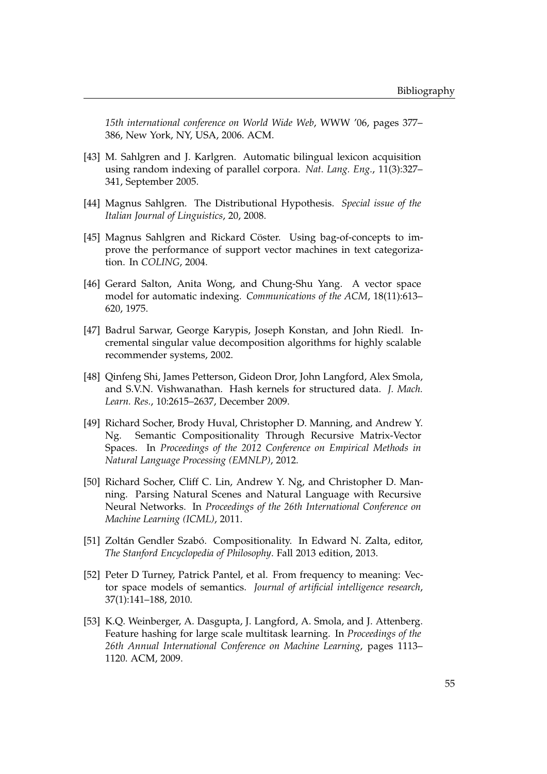*15th international conference on World Wide Web*, WWW '06, pages 377– 386, New York, NY, USA, 2006. ACM.

- <span id="page-60-4"></span>[43] M. Sahlgren and J. Karlgren. Automatic bilingual lexicon acquisition using random indexing of parallel corpora. *Nat. Lang. Eng.*, 11(3):327– 341, September 2005.
- <span id="page-60-2"></span>[44] Magnus Sahlgren. The Distributional Hypothesis. *Special issue of the Italian Journal of Linguistics*, 20, 2008.
- <span id="page-60-5"></span>[45] Magnus Sahlgren and Rickard Cöster. Using bag-of-concepts to improve the performance of support vector machines in text categorization. In *COLING*, 2004.
- <span id="page-60-0"></span>[46] Gerard Salton, Anita Wong, and Chung-Shu Yang. A vector space model for automatic indexing. *Communications of the ACM*, 18(11):613– 620, 1975.
- <span id="page-60-3"></span>[47] Badrul Sarwar, George Karypis, Joseph Konstan, and John Riedl. Incremental singular value decomposition algorithms for highly scalable recommender systems, 2002.
- <span id="page-60-6"></span>[48] Qinfeng Shi, James Petterson, Gideon Dror, John Langford, Alex Smola, and S.V.N. Vishwanathan. Hash kernels for structured data. *J. Mach. Learn. Res.*, 10:2615–2637, December 2009.
- <span id="page-60-9"></span>[49] Richard Socher, Brody Huval, Christopher D. Manning, and Andrew Y. Ng. Semantic Compositionality Through Recursive Matrix-Vector Spaces. In *Proceedings of the 2012 Conference on Empirical Methods in Natural Language Processing (EMNLP)*, 2012.
- <span id="page-60-10"></span>[50] Richard Socher, Cliff C. Lin, Andrew Y. Ng, and Christopher D. Manning. Parsing Natural Scenes and Natural Language with Recursive Neural Networks. In *Proceedings of the 26th International Conference on Machine Learning (ICML)*, 2011.
- <span id="page-60-8"></span>[51] Zoltán Gendler Szabó. Compositionality. In Edward N. Zalta, editor, *The Stanford Encyclopedia of Philosophy*. Fall 2013 edition, 2013.
- <span id="page-60-1"></span>[52] Peter D Turney, Patrick Pantel, et al. From frequency to meaning: Vector space models of semantics. *Journal of artificial intelligence research*, 37(1):141–188, 2010.
- <span id="page-60-7"></span>[53] K.Q. Weinberger, A. Dasgupta, J. Langford, A. Smola, and J. Attenberg. Feature hashing for large scale multitask learning. In *Proceedings of the 26th Annual International Conference on Machine Learning*, pages 1113– 1120. ACM, 2009.